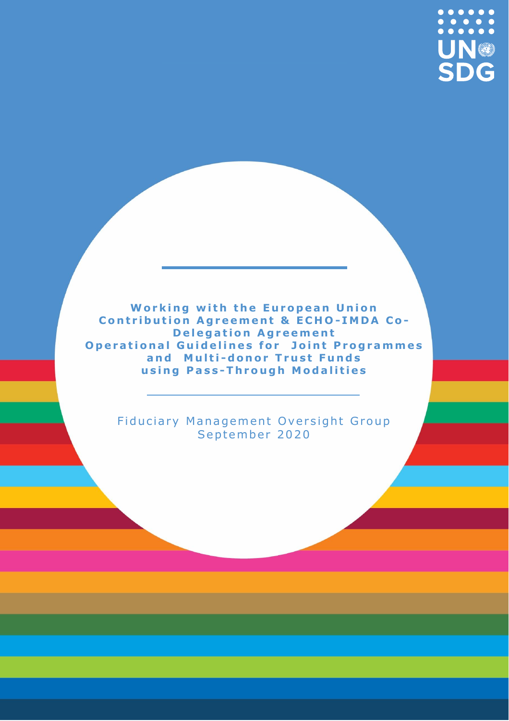

**Working with the European Union Contribution Agreement & ECHO-IMDA Co-Delegation Agreement Operational Guidelines for Joint Programmes** and Multi-donor Trust Funds **u s i n g P a s s -T h r o u g h M o d a l i t i e s** 

Fiduciary Management Oversight Group September 2020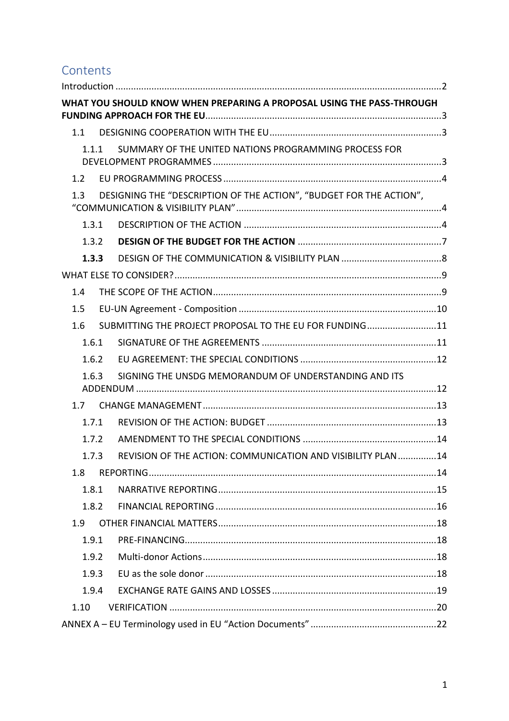# **Contents**

|       | WHAT YOU SHOULD KNOW WHEN PREPARING A PROPOSAL USING THE PASS-THROUGH |
|-------|-----------------------------------------------------------------------|
| 1.1   |                                                                       |
| 1.1.1 | SUMMARY OF THE UNITED NATIONS PROGRAMMING PROCESS FOR                 |
| 1.2   |                                                                       |
| 1.3   | DESIGNING THE "DESCRIPTION OF THE ACTION", "BUDGET FOR THE ACTION",   |
| 1.3.1 |                                                                       |
| 1.3.2 |                                                                       |
| 1.3.3 |                                                                       |
|       |                                                                       |
| 1.4   |                                                                       |
| 1.5   |                                                                       |
| 1.6   | SUBMITTING THE PROJECT PROPOSAL TO THE EU FOR FUNDING11               |
| 1.6.1 |                                                                       |
| 1.6.2 |                                                                       |
| 1.6.3 | SIGNING THE UNSDG MEMORANDUM OF UNDERSTANDING AND ITS                 |
| 1.7   |                                                                       |
| 1.7.1 |                                                                       |
| 1.7.2 |                                                                       |
| 1.7.3 | REVISION OF THE ACTION: COMMUNICATION AND VISIBILITY PLAN 14          |
| 1.8   |                                                                       |
| 1.8.1 |                                                                       |
| 1.8.2 |                                                                       |
| 1.9   |                                                                       |
| 1.9.1 |                                                                       |
| 1.9.2 |                                                                       |
| 1.9.3 |                                                                       |
| 1.9.4 |                                                                       |
| 1.10  |                                                                       |
|       |                                                                       |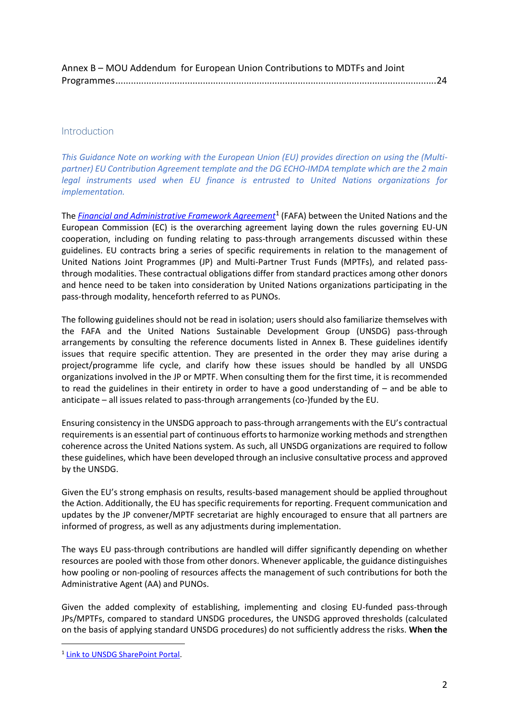| Annex B - MOU Addendum for European Union Contributions to MDTFs and Joint |  |
|----------------------------------------------------------------------------|--|
|                                                                            |  |

#### <span id="page-2-0"></span>Introduction

*This Guidance Note on working with the European Union (EU) provides direction on using the (Multipartner) EU Contribution Agreement template and the DG ECHO-IMDA template which are the 2 main legal instruments used when EU finance is entrusted to United Nations organizations for implementation.*

The <u>[Financial and Administrative Framework Agreement](https://unitednations.sharepoint.com/sites/DCOPolicyandProgrammeRCs)</u><sup>1</sup> (FAFA) between the United Nations and the European Commission (EC) is the overarching agreement laying down the rules governing EU-UN cooperation, including on funding relating to pass-through arrangements discussed within these guidelines. EU contracts bring a series of specific requirements in relation to the management of United Nations Joint Programmes (JP) and Multi-Partner Trust Funds (MPTFs), and related passthrough modalities. These contractual obligations differ from standard practices among other donors and hence need to be taken into consideration by United Nations organizations participating in the pass-through modality, henceforth referred to as PUNOs.

The following guidelines should not be read in isolation; users should also familiarize themselves with the FAFA and the United Nations Sustainable Development Group (UNSDG) pass-through arrangements by consulting the reference documents listed in Annex B. These guidelines identify issues that require specific attention. They are presented in the order they may arise during a project/programme life cycle, and clarify how these issues should be handled by all UNSDG organizations involved in the JP or MPTF. When consulting them for the first time, it is recommended to read the guidelines in their entirety in order to have a good understanding of – and be able to anticipate – all issues related to pass-through arrangements (co-)funded by the EU.

Ensuring consistency in the UNSDG approach to pass-through arrangements with the EU's contractual requirements is an essential part of continuous efforts to harmonize working methods and strengthen coherence across the United Nations system. As such, all UNSDG organizations are required to follow these guidelines, which have been developed through an inclusive consultative process and approved by the UNSDG.

Given the EU's strong emphasis on results, results-based management should be applied throughout the Action. Additionally, the EU has specific requirements for reporting. Frequent communication and updates by the JP convener/MPTF secretariat are highly encouraged to ensure that all partners are informed of progress, as well as any adjustments during implementation.

The ways EU pass-through contributions are handled will differ significantly depending on whether resources are pooled with those from other donors. Whenever applicable, the guidance distinguishes how pooling or non-pooling of resources affects the management of such contributions for both the Administrative Agent (AA) and PUNOs.

Given the added complexity of establishing, implementing and closing EU-funded pass-through JPs/MPTFs, compared to standard UNSDG procedures, the UNSDG approved thresholds (calculated on the basis of applying standard UNSDG procedures) do not sufficiently address the risks. **When the** 

<sup>&</sup>lt;sup>1</sup> [Link to UNSDG SharePoint Portal.](https://unitednations.sharepoint.com/sites/DCOPolicyandProgrammeRCs)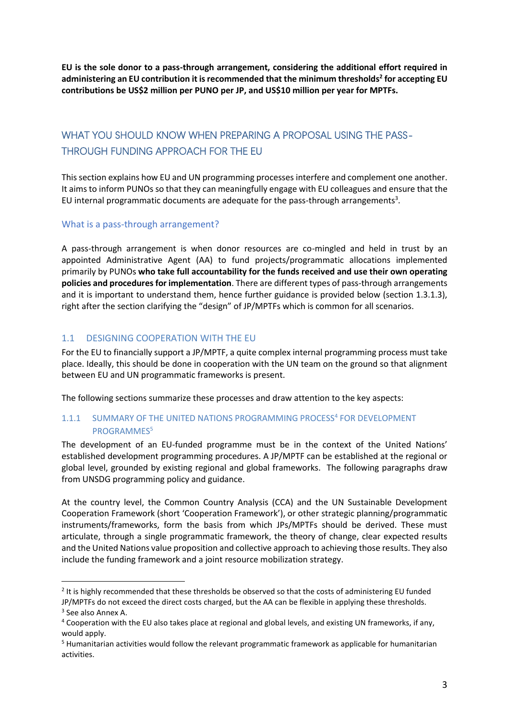**EU is the sole donor to a pass-through arrangement, considering the additional effort required in administering an EU contribution it is recommended that the minimum thresholds 2 for accepting EU contributions be US\$2 million per PUNO per JP, and US\$10 million per year for MPTFs.**

# <span id="page-3-0"></span>WHAT YOU SHOULD KNOW WHEN PREPARING A PROPOSAL USING THE PASS-THROUGH FUNDING APPROACH FOR THE EU

This section explains how EU and UN programming processes interfere and complement one another. It aims to inform PUNOs so that they can meaningfully engage with EU colleagues and ensure that the EU internal programmatic documents are adequate for the pass-through arrangements<sup>3</sup>.

#### What is a pass-through arrangement?

A pass-through arrangement is when donor resources are co-mingled and held in trust by an appointed Administrative Agent (AA) to fund projects/programmatic allocations implemented primarily by PUNOs **who take full accountability for the funds received and use their own operating policies and procedures for implementation**. There are different types of pass-through arrangements and it is important to understand them, hence further guidance is provided below (section 1.3.1.3), right after the section clarifying the "design" of JP/MPTFs which is common for all scenarios.

# <span id="page-3-1"></span>1.1 DESIGNING COOPERATION WITH THE EU

For the EU to financially support a JP/MPTF, a quite complex internal programming process must take place. Ideally, this should be done in cooperation with the UN team on the ground so that alignment between EU and UN programmatic frameworks is present.

The following sections summarize these processes and draw attention to the key aspects:

## <span id="page-3-2"></span>1.1.1 SUMMARY OF THE UNITED NATIONS PROGRAMMING PROCESS<sup>4</sup> FOR DEVELOPMENT PROGRAMMES<sup>5</sup>

The development of an EU-funded programme must be in the context of the United Nations' established development programming procedures. A JP/MPTF can be established at the regional or global level, grounded by existing regional and global frameworks. The following paragraphs draw from UNSDG programming policy and guidance.

At the country level, the Common Country Analysis (CCA) and the UN Sustainable Development Cooperation Framework (short 'Cooperation Framework'), or other strategic planning/programmatic instruments/frameworks, form the basis from which JPs/MPTFs should be derived. These must articulate, through a single programmatic framework, the theory of change, clear expected results and the United Nations value proposition and collective approach to achieving those results. They also include the funding framework and a joint resource mobilization strategy.

 $2$  It is highly recommended that these thresholds be observed so that the costs of administering EU funded JP/MPTFs do not exceed the direct costs charged, but the AA can be flexible in applying these thresholds. 3 See also Annex A.

<sup>4</sup> Cooperation with the EU also takes place at regional and global levels, and existing UN frameworks, if any, would apply.

<sup>5</sup> Humanitarian activities would follow the relevant programmatic framework as applicable for humanitarian activities.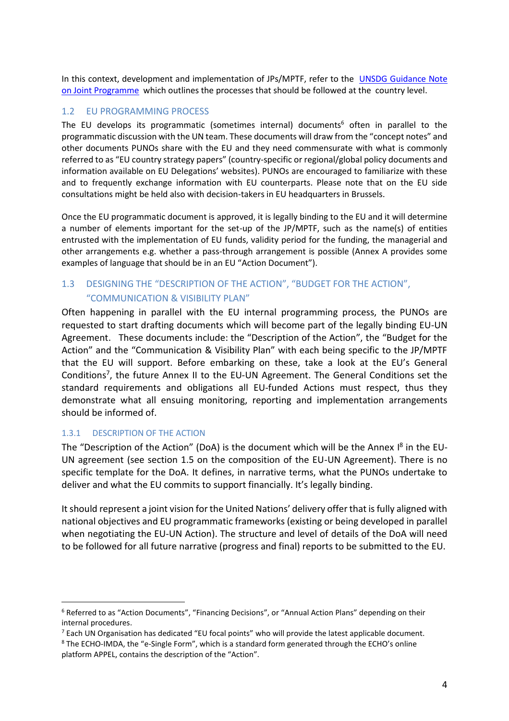In this context, development and implementation of JPs/MPTF, refer to the **UNSDG Guidance Note** [on Joint Programme](https://unsdg.un.org/resources/undg-guidance-note-joint-programmes) which outlines the processes that should be followed at the country level.

## <span id="page-4-0"></span>1.2 EU PROGRAMMING PROCESS

The EU develops its programmatic (sometimes internal) documents<sup>6</sup> often in parallel to the programmatic discussion with the UN team. These documents will draw from the "concept notes" and other documents PUNOs share with the EU and they need commensurate with what is commonly referred to as "EU country strategy papers" (country-specific or regional/global policy documents and information available on EU Delegations' websites). PUNOs are encouraged to familiarize with these and to frequently exchange information with EU counterparts. Please note that on the EU side consultations might be held also with decision-takers in EU headquarters in Brussels.

Once the EU programmatic document is approved, it is legally binding to the EU and it will determine a number of elements important for the set-up of the JP/MPTF, such as the name(s) of entities entrusted with the implementation of EU funds, validity period for the funding, the managerial and other arrangements e.g. whether a pass-through arrangement is possible (Annex A provides some examples of language that should be in an EU "Action Document").

# <span id="page-4-1"></span>1.3 DESIGNING THE "DESCRIPTION OF THE ACTION", "BUDGET FOR THE ACTION", "COMMUNICATION & VISIBILITY PLAN"

Often happening in parallel with the EU internal programming process, the PUNOs are requested to start drafting documents which will become part of the legally binding EU-UN Agreement. These documents include: the "Description of the Action", the "Budget for the Action" and the "Communication & Visibility Plan" with each being specific to the JP/MPTF that the EU will support. Before embarking on these, take a look at the EU's General Conditions<sup>7</sup>, the future Annex II to the EU-UN Agreement. The General Conditions set the standard requirements and obligations all EU-funded Actions must respect, thus they demonstrate what all ensuing monitoring, reporting and implementation arrangements should be informed of.

#### <span id="page-4-2"></span>1.3.1 DESCRIPTION OF THE ACTION

The "Description of the Action" (DoA) is the document which will be the Annex I<sup>8</sup> in the EU-UN agreement (see section 1.5 on the composition of the EU-UN Agreement). There is no specific template for the DoA. It defines, in narrative terms, what the PUNOs undertake to deliver and what the EU commits to support financially. It's legally binding.

It should represent a joint vision for the United Nations' delivery offer that is fully aligned with national objectives and EU programmatic frameworks (existing or being developed in parallel when negotiating the EU-UN Action). The structure and level of details of the DoA will need to be followed for all future narrative (progress and final) reports to be submitted to the EU.

<sup>6</sup> Referred to as "Action Documents", "Financing Decisions", or "Annual Action Plans" depending on their internal procedures.

 $7$  Each UN Organisation has dedicated "EU focal points" who will provide the latest applicable document.

<sup>8</sup> The ECHO-IMDA, the "e-Single Form", which is a standard form generated through the ECHO's online platform APPEL, contains the description of the "Action".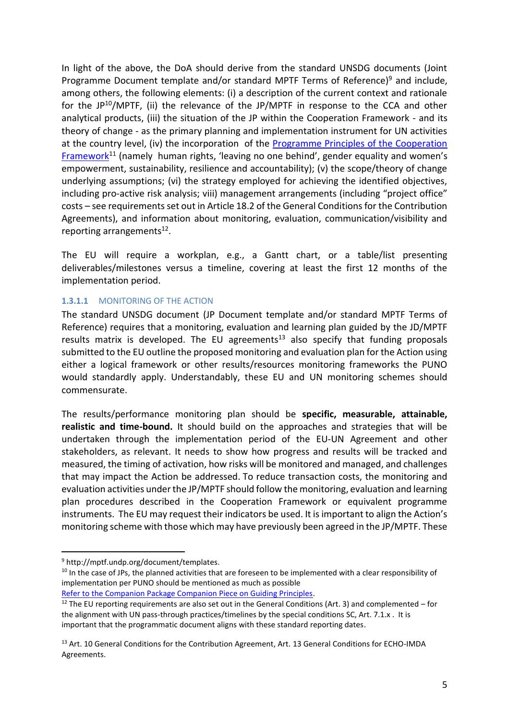In light of the above, the DoA should derive from the standard UNSDG documents (Joint Programme Document template and/or standard MPTF Terms of Reference)<sup>9</sup> and include, among others, the following elements: (i) a description of the current context and rationale for the JP<sup>10</sup>/MPTF, (ii) the relevance of the JP/MPTF in response to the CCA and other analytical products, (iii) the situation of the JP within the Cooperation Framework - and its theory of change - as the primary planning and implementation instrument for UN activities at the country level, (iv) the incorporation of the Programme Principles of the Cooperation [Framework](https://unitednations.sharepoint.com/:b:/r/sites/DCO-WG-UNSDG_CF/Shared%20Documents/General/Draft%20companion%20package/05_Companion%20Piece%20Guiding%20Principles%20-Final.pdf?csf=1&web=1&e=6hdIeI)<sup>11</sup> (namely human rights, 'leaving no one behind', gender equality and women's empowerment, sustainability, resilience and accountability); (v) the scope/theory of change underlying assumptions; (vi) the strategy employed for achieving the identified objectives, including pro-active risk analysis; viii) management arrangements (including "project office" costs – see requirements set out in Article 18.2 of the General Conditions for the Contribution Agreements), and information about monitoring, evaluation, communication/visibility and reporting arrangements<sup>12</sup>.

The EU will require a workplan, e.g., a Gantt chart, or a table/list presenting deliverables/milestones versus a timeline, covering at least the first 12 months of the implementation period.

## **1.3.1.1** MONITORING OF THE ACTION

The standard UNSDG document (JP Document template and/or standard MPTF Terms of Reference) requires that a monitoring, evaluation and learning plan guided by the JD/MPTF results matrix is developed. The EU agreements<sup>13</sup> also specify that funding proposals submitted to the EU outline the proposed monitoring and evaluation plan for the Action using either a logical framework or other results/resources monitoring frameworks the PUNO would standardly apply. Understandably, these EU and UN monitoring schemes should commensurate.

The results/performance monitoring plan should be **specific, measurable, attainable, realistic and time-bound.** It should build on the approaches and strategies that will be undertaken through the implementation period of the EU-UN Agreement and other stakeholders, as relevant. It needs to show how progress and results will be tracked and measured, the timing of activation, how risks will be monitored and managed, and challenges that may impact the Action be addressed. To reduce transaction costs, the monitoring and evaluation activities under the JP/MPTF should follow the monitoring, evaluation and learning plan procedures described in the Cooperation Framework or equivalent programme instruments. The EU may request their indicators be used. It is important to align the Action's monitoring scheme with those which may have previously been agreed in the JP/MPTF. These

<sup>9</sup> http://mptf.undp.org/document/templates.

<sup>&</sup>lt;sup>10</sup> In the case of JPs, the planned activities that are foreseen to be implemented with a clear responsibility of implementation per PUNO should be mentioned as much as possible

[Refer to the Companion Package Companion Piece on Guiding Principles.](https://unitednations.sharepoint.com/:b:/r/sites/DCO-WG-UNSDG_CF/Shared%20Documents/General/Draft%20companion%20package/05_Companion%20Piece%20Guiding%20Principles%20-Final.pdf?csf=1&web=1&e=HD2F9c)

 $12$  The EU reporting requirements are also set out in the General Conditions (Art. 3) and complemented – for the alignment with UN pass-through practices/timelines by the special conditions SC, Art. 7.1.x . It is important that the programmatic document aligns with these standard reporting dates.

<sup>&</sup>lt;sup>13</sup> Art. 10 General Conditions for the Contribution Agreement, Art. 13 General Conditions for ECHO-IMDA Agreements.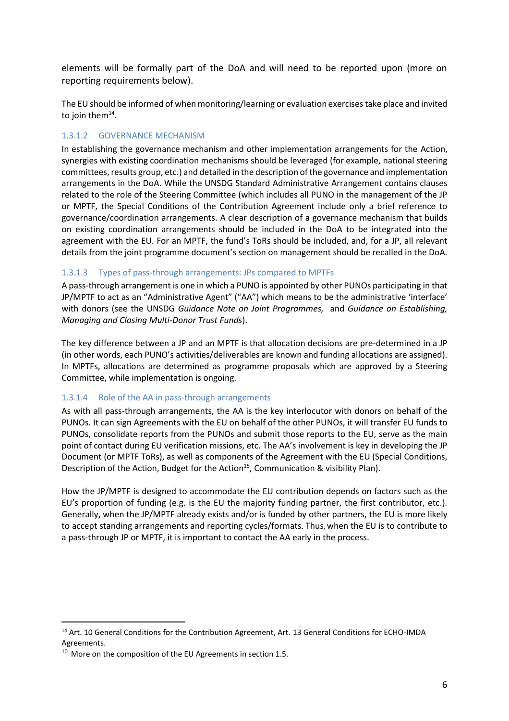elements will be formally part of the DoA and will need to be reported upon (more on reporting requirements below).

The EU should be informed of when monitoring/learning or evaluation exercises take place and invited to join them $^{14}$ .

## 1.3.1.2 GOVERNANCE MECHANISM

In establishing the governance mechanism and other implementation arrangements for the Action, synergies with existing coordination mechanisms should be leveraged (for example, national steering committees, results group, etc.) and detailed in the description of the governance and implementation arrangements in the DoA. While the UNSDG Standard Administrative Arrangement contains clauses related to the role of the Steering Committee (which includes all PUNO in the management of the JP or MPTF, the Special Conditions of the Contribution Agreement include only a brief reference to governance/coordination arrangements. A clear description of a governance mechanism that builds on existing coordination arrangements should be included in the DoA to be integrated into the agreement with the EU. For an MPTF, the fund's ToRs should be included, and, for a JP, all relevant details from the joint programme document's section on management should be recalled in the DoA.

#### 1.3.1.3 Types of pass-through arrangements: JPs compared to MPTFs

A pass-through arrangement is one in which a PUNO is appointed by other PUNOs participating in that JP/MPTF to act as an "Administrative Agent" ("AA") which means to be the administrative 'interface' with donors (see the UNSDG *[Guidance Note on Joint Programmes,](http://mptf.undp.org/document/download/13433)* and *[Guidance on Establishing,](http://mptf.undp.org/document/download/6132)  [Managing and Closing Multi-Donor Trust Funds](http://mptf.undp.org/document/download/6132)*).

The key difference between a JP and an MPTF is that allocation decisions are pre-determined in a JP (in other words, each PUNO's activities/deliverables are known and funding allocations are assigned). In MPTFs, allocations are determined as programme proposals which are approved by a Steering Committee, while implementation is ongoing.

#### 1.3.1.4 Role of the AA in pass-through arrangements

As with all pass-through arrangements, the AA is the key interlocutor with donors on behalf of the PUNOs. It can sign Agreements with the EU on behalf of the other PUNOs, it will transfer EU funds to PUNOs, consolidate reports from the PUNOs and submit those reports to the EU, serve as the main point of contact during EU verification missions, etc. The AA's involvement is key in developing the JP Document (or MPTF ToRs), as well as components of the Agreement with the EU (Special Conditions, Description of the Action, Budget for the Action<sup>15</sup>, Communication & visibility Plan).

How the JP/MPTF is designed to accommodate the EU contribution depends on factors such as the EU's proportion of funding (e.g. is the EU the majority funding partner, the first contributor, etc.). Generally, when the JP/MPTF already exists and/or is funded by other partners, the EU is more likely to accept standing arrangements and reporting cycles/formats. Thus, when the EU is to contribute to a pass-through JP or MPTF, it is important to contact the AA early in the process.

<sup>&</sup>lt;sup>14</sup> Art. 10 General Conditions for the Contribution Agreement, Art. 13 General Conditions for ECHO-IMDA Agreements.

 $10$  More on the composition of the EU Agreements in section 1.5.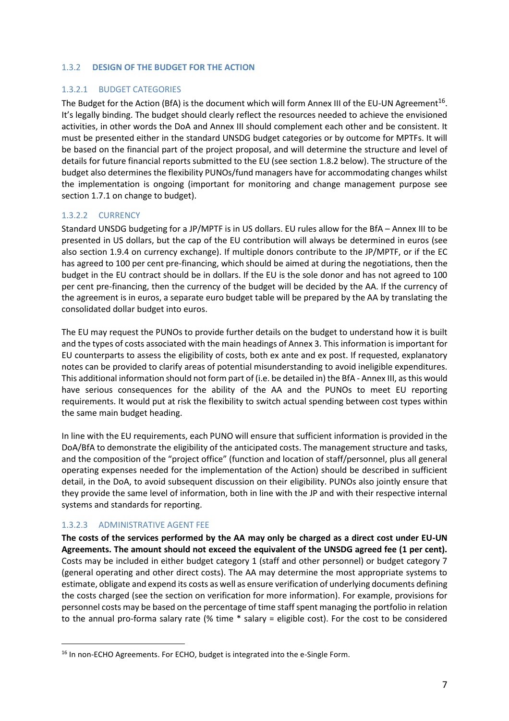#### <span id="page-7-0"></span>1.3.2 **DESIGN OF THE BUDGET FOR THE ACTION**

#### 1.3.2.1 BUDGET CATEGORIES

The Budget for the Action (BfA) is the document which will form Annex III of the EU-UN Agreement $^{16}$ . It's legally binding. The budget should clearly reflect the resources needed to achieve the envisioned activities, in other words the DoA and Annex III should complement each other and be consistent. It must be presented either in the standard UNSDG budget categories or by outcome for MPTFs. It will be based on the financial part of the project proposal, and will determine the structure and level of details for future financial reports submitted to the EU (see section 1.8.2 below). The structure of the budget also determines the flexibility PUNOs/fund managers have for accommodating changes whilst the implementation is ongoing (important for monitoring and change management purpose see section 1.7.1 on change to budget).

#### 1.3.2.2 CURRENCY

Standard UNSDG budgeting for a JP/MPTF is in US dollars. EU rules allow for the BfA – Annex III to be presented in US dollars, but the cap of the EU contribution will always be determined in euros (see also section 1.9.4 on currency exchange). If multiple donors contribute to the JP/MPTF, or if the EC has agreed to 100 per cent pre-financing, which should be aimed at during the negotiations, then the budget in the EU contract should be in dollars. If the EU is the sole donor and has not agreed to 100 per cent pre-financing, then the currency of the budget will be decided by the AA. If the currency of the agreement is in euros, a separate euro budget table will be prepared by the AA by translating the consolidated dollar budget into euros.

The EU may request the PUNOs to provide further details on the budget to understand how it is built and the types of costs associated with the main headings of Annex 3. This information is important for EU counterparts to assess the eligibility of costs, both ex ante and ex post. If requested, explanatory notes can be provided to clarify areas of potential misunderstanding to avoid ineligible expenditures. This additional information should not form part of (i.e. be detailed in) the BfA - Annex III, as this would have serious consequences for the ability of the AA and the PUNOs to meet EU reporting requirements. It would put at risk the flexibility to switch actual spending between cost types within the same main budget heading.

In line with the EU requirements, each PUNO will ensure that sufficient information is provided in the DoA/BfA to demonstrate the eligibility of the anticipated costs. The management structure and tasks, and the composition of the "project office" (function and location of staff/personnel, plus all general operating expenses needed for the implementation of the Action) should be described in sufficient detail, in the DoA, to avoid subsequent discussion on their eligibility. PUNOs also jointly ensure that they provide the same level of information, both in line with the JP and with their respective internal systems and standards for reporting.

#### 1.3.2.3 ADMINISTRATIVE AGENT FEE

**The costs of the services performed by the AA may only be charged as a direct cost under EU-UN Agreements. The amount should not exceed the equivalent of the UNSDG agreed fee (1 per cent).** Costs may be included in either budget category 1 (staff and other personnel) or budget category 7 (general operating and other direct costs). The AA may determine the most appropriate systems to estimate, obligate and expend its costs as well as ensure verification of underlying documents defining the costs charged (see the section on verification for more information). For example, provisions for personnel costs may be based on the percentage of time staff spent managing the portfolio in relation to the annual pro-forma salary rate (% time \* salary = eligible cost). For the cost to be considered

<sup>&</sup>lt;sup>16</sup> In non-ECHO Agreements. For ECHO, budget is integrated into the e-Single Form.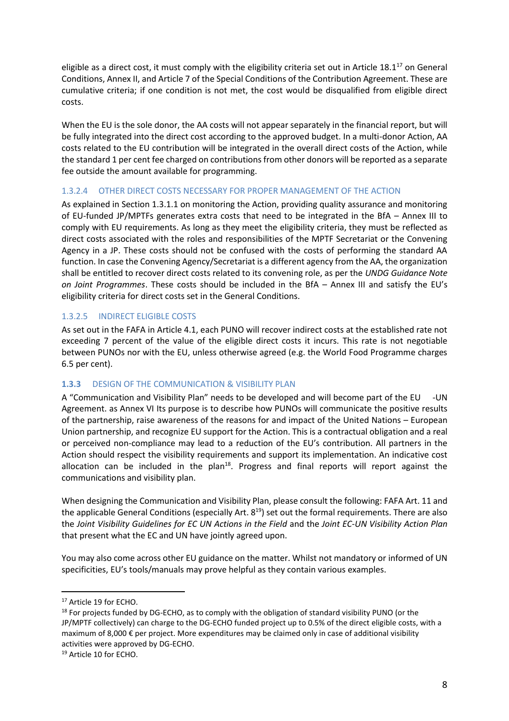eligible as a direct cost, it must comply with the eligibility criteria set out in Article  $18.1^{17}$  on General Conditions, Annex II, and Article 7 of the Special Conditions of the Contribution Agreement. These are cumulative criteria; if one condition is not met, the cost would be disqualified from eligible direct costs.

When the EU is the sole donor, the AA costs will not appear separately in the financial report, but will be fully integrated into the direct cost according to the approved budget. In a multi-donor Action, AA costs related to the EU contribution will be integrated in the overall direct costs of the Action, while the standard 1 per cent fee charged on contributions from other donors will be reported as a separate fee outside the amount available for programming.

#### 1.3.2.4 OTHER DIRECT COSTS NECESSARY FOR PROPER MANAGEMENT OF THE ACTION

As explained in Section 1.3.1.1 on monitoring the Action, providing quality assurance and monitoring of EU-funded JP/MPTFs generates extra costs that need to be integrated in the BfA – Annex III to comply with EU requirements. As long as they meet the eligibility criteria, they must be reflected as direct costs associated with the roles and responsibilities of the MPTF Secretariat or the Convening Agency in a JP. These costs should not be confused with the costs of performing the standard AA function. In case the Convening Agency/Secretariat is a different agency from the AA, the organization shall be entitled to recover direct costs related to its convening role, as per the *UNDG Guidance Note on Joint Programmes*. These costs should be included in the BfA – Annex III and satisfy the EU's eligibility criteria for direct costs set in the General Conditions.

## 1.3.2.5 INDIRECT ELIGIBLE COSTS

As set out in the FAFA in Article 4.1, each PUNO will recover indirect costs at the established rate not exceeding 7 percent of the value of the eligible direct costs it incurs. This rate is not negotiable between PUNOs nor with the EU, unless otherwise agreed (e.g. the World Food Programme charges 6.5 per cent).

## <span id="page-8-0"></span>**1.3.3** DESIGN OF THE COMMUNICATION & VISIBILITY PLAN

A "Communication and Visibility Plan" needs to be developed and will become part of the EU -UN Agreement. as Annex VI Its purpose is to describe how PUNOs will communicate the positive results of the partnership, raise awareness of the reasons for and impact of the United Nations – European Union partnership, and recognize EU support for the Action. This is a contractual obligation and a real or perceived non-compliance may lead to a reduction of the EU's contribution. All partners in the Action should respect the visibility requirements and support its implementation. An indicative cost allocation can be included in the plan<sup>18</sup>. Progress and final reports will report against the communications and visibility plan.

When designing the Communication and Visibility Plan, please consult the following: FAFA Art. 11 and the applicable General Conditions (especially Art.  $8^{19}$ ) set out the formal requirements. There are also the *Joint Visibility Guidelines for EC UN Actions in the Field* and the *Joint EC-UN Visibility Action Plan* that present what the EC and UN have jointly agreed upon.

You may also come across other EU guidance on the matter. Whilst not mandatory or informed of UN specificities, EU's tools/manuals may prove helpful as they contain various examples.

<sup>&</sup>lt;sup>17</sup> Article 19 for ECHO.

<sup>&</sup>lt;sup>18</sup> For projects funded by DG-ECHO, as to comply with the obligation of standard visibility PUNO (or the JP/MPTF collectively) can charge to the DG-ECHO funded project up to 0.5% of the direct eligible costs, with a maximum of 8,000 € per project. More expenditures may be claimed only in case of additional visibility activities were approved by DG-ECHO.

<sup>&</sup>lt;sup>19</sup> Article 10 for ECHO.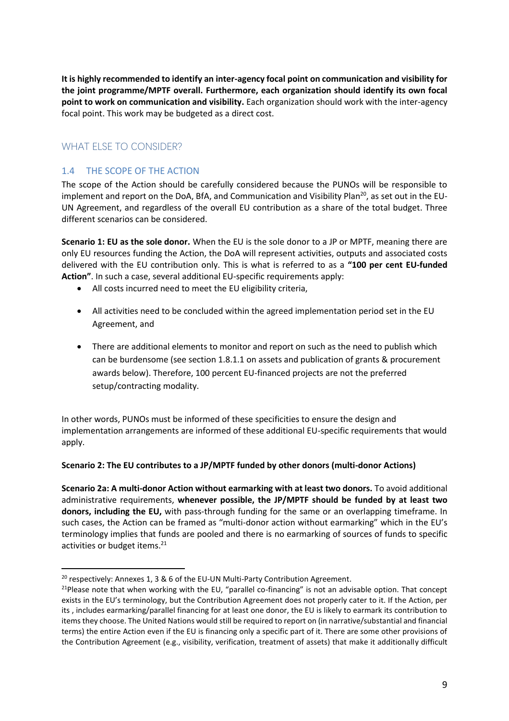**It is highly recommended to identify an inter-agency focal point on communication and visibility for the joint programme/MPTF overall. Furthermore, each organization should identify its own focal point to work on communication and visibility.** Each organization should work with the inter-agency focal point. This work may be budgeted as a direct cost.

# <span id="page-9-0"></span>WHAT FI SF TO CONSIDER?

## <span id="page-9-1"></span>1.4 THE SCOPE OF THE ACTION

The scope of the Action should be carefully considered because the PUNOs will be responsible to implement and report on the DoA, BfA, and Communication and Visibility Plan<sup>20</sup>, as set out in the EU-UN Agreement, and regardless of the overall EU contribution as a share of the total budget. Three different scenarios can be considered.

**Scenario 1: EU as the sole donor.** When the EU is the sole donor to a JP or MPTF, meaning there are only EU resources funding the Action, the DoA will represent activities, outputs and associated costs delivered with the EU contribution only. This is what is referred to as a **"100 per cent EU-funded Action"**. In such a case, several additional EU-specific requirements apply:

- All costs incurred need to meet the EU eligibility criteria,
- All activities need to be concluded within the agreed implementation period set in the EU Agreement, and
- There are additional elements to monitor and report on such as the need to publish which can be burdensome (see section 1.8.1.1 on assets and publication of grants & procurement awards below). Therefore, 100 percent EU-financed projects are not the preferred setup/contracting modality.

In other words, PUNOs must be informed of these specificities to ensure the design and implementation arrangements are informed of these additional EU-specific requirements that would apply.

#### **Scenario 2: The EU contributes to a JP/MPTF funded by other donors (multi-donor Actions)**

**Scenario 2a: A multi-donor Action without earmarking with at least two donors.** To avoid additional administrative requirements, **whenever possible, the JP/MPTF should be funded by at least two donors, including the EU,** with pass-through funding for the same or an overlapping timeframe. In such cases, the Action can be framed as "multi-donor action without earmarking" which in the EU's terminology implies that funds are pooled and there is no earmarking of sources of funds to specific activities or budget items.<sup>21</sup>

<sup>&</sup>lt;sup>20</sup> respectively: Annexes 1, 3 & 6 of the EU-UN Multi-Party Contribution Agreement.

<sup>&</sup>lt;sup>21</sup>Please note that when working with the EU, "parallel co-financing" is not an advisable option. That concept exists in the EU's terminology, but the Contribution Agreement does not properly cater to it. If the Action, per its , includes earmarking/parallel financing for at least one donor, the EU is likely to earmark its contribution to items they choose. The United Nations would still be required to report on (in narrative/substantial and financial terms) the entire Action even if the EU is financing only a specific part of it. There are some other provisions of the Contribution Agreement (e.g., visibility, verification, treatment of assets) that make it additionally difficult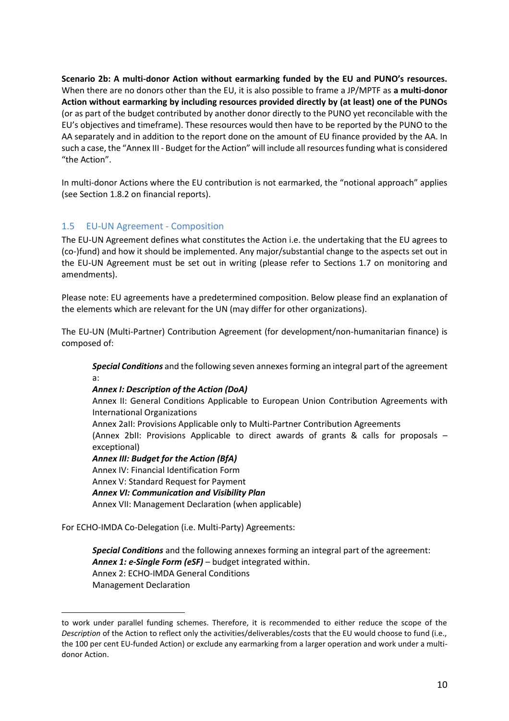**Scenario 2b: A multi-donor Action without earmarking funded by the EU and PUNO's resources.** When there are no donors other than the EU, it is also possible to frame a JP/MPTF as **a multi-donor Action without earmarking by including resources provided directly by (at least) one of the PUNOs**  (or as part of the budget contributed by another donor directly to the PUNO yet reconcilable with the EU's objectives and timeframe). These resources would then have to be reported by the PUNO to the AA separately and in addition to the report done on the amount of EU finance provided by the AA. In such a case, the "Annex III - Budget for the Action" will include all resources funding what is considered "the Action".

In multi-donor Actions where the EU contribution is not earmarked, the "notional approach" applies (see Section 1.8.2 on financial reports).

## <span id="page-10-0"></span>1.5 EU-UN Agreement - Composition

The EU-UN Agreement defines what constitutes the Action i.e. the undertaking that the EU agrees to (co-)fund) and how it should be implemented. Any major/substantial change to the aspects set out in the EU-UN Agreement must be set out in writing (please refer to Sections 1.7 on monitoring and amendments).

Please note: EU agreements have a predetermined composition. Below please find an explanation of the elements which are relevant for the UN (may differ for other organizations).

The EU-UN (Multi-Partner) Contribution Agreement (for development/non-humanitarian finance) is composed of:

*Special Conditions* and the following seven annexes forming an integral part of the agreement a:

#### *Annex I: Description of the Action (DoA)*

Annex II: General Conditions Applicable to European Union Contribution Agreements with International Organizations

Annex 2aII: Provisions Applicable only to Multi-Partner Contribution Agreements (Annex 2bII: Provisions Applicable to direct awards of grants & calls for proposals – exceptional)

#### *Annex III: Budget for the Action (BfA)*

Annex IV: Financial Identification Form Annex V: Standard Request for Payment *Annex VI: Communication and Visibility Plan* Annex VII: Management Declaration (when applicable)

For ECHO-IMDA Co-Delegation (i.e. Multi-Party) Agreements:

*Special Conditions* and the following annexes forming an integral part of the agreement: *Annex 1: e-Single Form (eSF)* – budget integrated within. Annex 2: ECHO-IMDA General Conditions Management Declaration

to work under parallel funding schemes. Therefore, it is recommended to either reduce the scope of the *Description* of the Action to reflect only the activities/deliverables/costs that the EU would choose to fund (i.e., the 100 per cent EU-funded Action) or exclude any earmarking from a larger operation and work under a multidonor Action.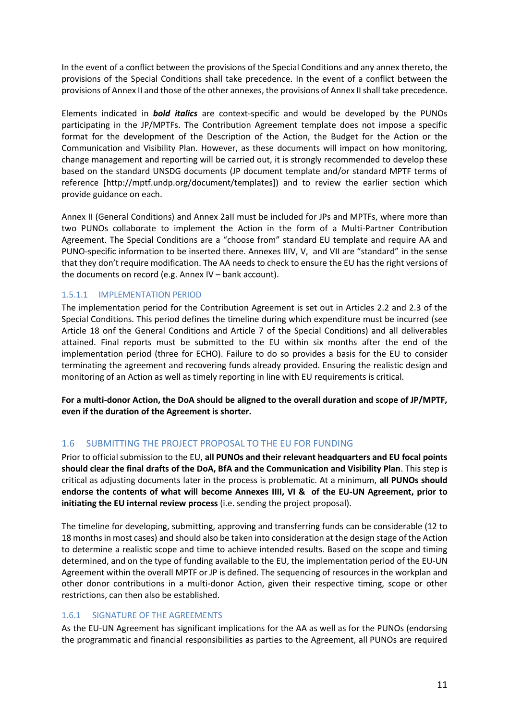In the event of a conflict between the provisions of the Special Conditions and any annex thereto, the provisions of the Special Conditions shall take precedence. In the event of a conflict between the provisions of Annex II and those of the other annexes, the provisions of Annex IIshall take precedence.

Elements indicated in *bold italics* are context-specific and would be developed by the PUNOs participating in the JP/MPTFs. The Contribution Agreement template does not impose a specific format for the development of the Description of the Action, the Budget for the Action or the Communication and Visibility Plan. However, as these documents will impact on how monitoring, change management and reporting will be carried out, it is strongly recommended to develop these based on the standard UNSDG documents (JP document template and/or standard MPTF terms of reference [http://mptf.undp.org/document/templates]) and to review the earlier section which provide guidance on each.

Annex II (General Conditions) and Annex 2aII must be included for JPs and MPTFs, where more than two PUNOs collaborate to implement the Action in the form of a Multi-Partner Contribution Agreement. The Special Conditions are a "choose from" standard EU template and require AA and PUNO-specific information to be inserted there. Annexes IIIV, V, and VII are "standard" in the sense that they don't require modification. The AA needs to check to ensure the EU has the right versions of the documents on record (e.g. Annex IV – bank account).

#### 1.5.1.1 IMPLEMENTATION PERIOD

The implementation period for the Contribution Agreement is set out in Articles 2.2 and 2.3 of the Special Conditions. This period defines the timeline during which expenditure must be incurred (see Article 18 onf the General Conditions and Article 7 of the Special Conditions) and all deliverables attained. Final reports must be submitted to the EU within six months after the end of the implementation period (three for ECHO). Failure to do so provides a basis for the EU to consider terminating the agreement and recovering funds already provided. Ensuring the realistic design and monitoring of an Action as well as timely reporting in line with EU requirements is critical.

**For a multi-donor Action, the DoA should be aligned to the overall duration and scope of JP/MPTF, even if the duration of the Agreement is shorter.** 

## <span id="page-11-0"></span>1.6 SUBMITTING THE PROJECT PROPOSAL TO THE EU FOR FUNDING

Prior to official submission to the EU, **all PUNOs and their relevant headquarters and EU focal points should clear the final drafts of the DoA, BfA and the Communication and Visibility Plan**. This step is critical as adjusting documents later in the process is problematic. At a minimum, **all PUNOs should endorse the contents of what will become Annexes IIII, VI & of the EU-UN Agreement, prior to initiating the EU internal review process** (i.e. sending the project proposal).

The timeline for developing, submitting, approving and transferring funds can be considerable (12 to 18 months in most cases) and should also be taken into consideration at the design stage of the Action to determine a realistic scope and time to achieve intended results. Based on the scope and timing determined, and on the type of funding available to the EU, the implementation period of the EU-UN Agreement within the overall MPTF or JP is defined. The sequencing of resources in the workplan and other donor contributions in a multi-donor Action, given their respective timing, scope or other restrictions, can then also be established.

#### <span id="page-11-1"></span>1.6.1 SIGNATURE OF THE AGREEMENTS

As the EU-UN Agreement has significant implications for the AA as well as for the PUNOs (endorsing the programmatic and financial responsibilities as parties to the Agreement, all PUNOs are required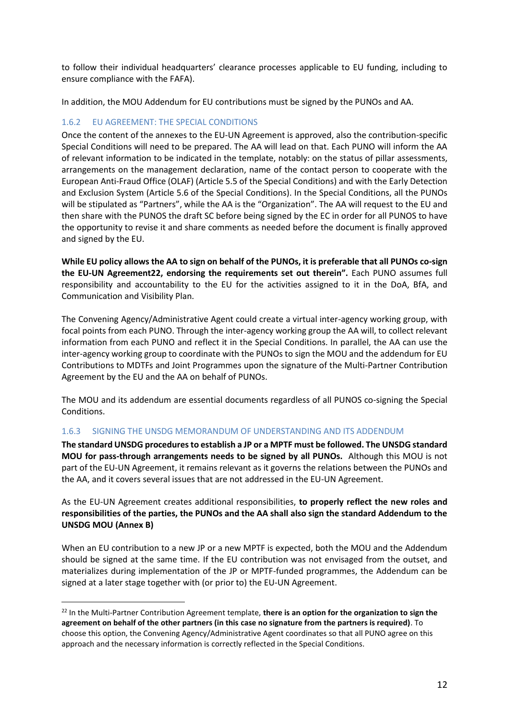to follow their individual headquarters' clearance processes applicable to EU funding, including to ensure compliance with the FAFA).

In addition, the MOU Addendum for EU contributions must be signed by the PUNOs and AA.

#### <span id="page-12-0"></span>1.6.2 EU AGREEMENT: THE SPECIAL CONDITIONS

Once the content of the annexes to the EU-UN Agreement is approved, also the contribution-specific Special Conditions will need to be prepared. The AA will lead on that. Each PUNO will inform the AA of relevant information to be indicated in the template, notably: on the status of pillar assessments, arrangements on the management declaration, name of the contact person to cooperate with the European Anti-Fraud Office (OLAF) (Article 5.5 of the Special Conditions) and with the Early Detection and Exclusion System (Article 5.6 of the Special Conditions). In the Special Conditions, all the PUNOs will be stipulated as "Partners", while the AA is the "Organization". The AA will request to the EU and then share with the PUNOS the draft SC before being signed by the EC in order for all PUNOS to have the opportunity to revise it and share comments as needed before the document is finally approved and signed by the EU.

**While EU policy allows the AA to sign on behalf of the PUNOs, it is preferable that all PUNOs co-sign the EU-UN Agreement22, endorsing the requirements set out therein".** Each PUNO assumes full responsibility and accountability to the EU for the activities assigned to it in the DoA, BfA, and Communication and Visibility Plan.

The Convening Agency/Administrative Agent could create a virtual inter-agency working group, with focal points from each PUNO. Through the inter-agency working group the AA will, to collect relevant information from each PUNO and reflect it in the Special Conditions. In parallel, the AA can use the inter-agency working group to coordinate with the PUNOs to sign the MOU and the addendum for EU Contributions to MDTFs and Joint Programmes upon the signature of the Multi-Partner Contribution Agreement by the EU and the AA on behalf of PUNOs.

The MOU and its addendum are essential documents regardless of all PUNOS co-signing the Special Conditions.

#### <span id="page-12-1"></span>1.6.3 SIGNING THE UNSDG MEMORANDUM OF UNDERSTANDING AND ITS ADDENDUM

**The standard UNSDG procedures to establish a JP or a MPTF must be followed. The UNSDG standard MOU for pass-through arrangements needs to be signed by all PUNOs.** Although this MOU is not part of the EU-UN Agreement, it remains relevant as it governs the relations between the PUNOs and the AA, and it covers several issues that are not addressed in the EU-UN Agreement.

As the EU-UN Agreement creates additional responsibilities, **to properly reflect the new roles and responsibilities of the parties, the PUNOs and the AA shall also sign the standard Addendum to the UNSDG MOU (Annex B)**

When an EU contribution to a new JP or a new MPTF is expected, both the MOU and the Addendum should be signed at the same time. If the EU contribution was not envisaged from the outset, and materializes during implementation of the JP or MPTF-funded programmes, the Addendum can be signed at a later stage together with (or prior to) the EU-UN Agreement.

<sup>22</sup> In the Multi-Partner Contribution Agreement template, **there is an option for the organization to sign the agreement on behalf of the other partners (in this case no signature from the partners is required)**. To choose this option, the Convening Agency/Administrative Agent coordinates so that all PUNO agree on this approach and the necessary information is correctly reflected in the Special Conditions.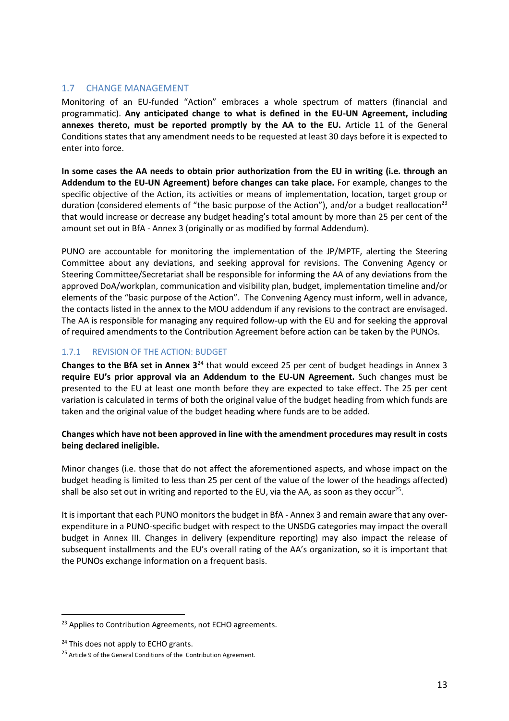## <span id="page-13-0"></span>1.7 CHANGE MANAGEMENT

Monitoring of an EU-funded "Action" embraces a whole spectrum of matters (financial and programmatic). **Any anticipated change to what is defined in the EU-UN Agreement, including annexes thereto, must be reported promptly by the AA to the EU.** Article 11 of the General Conditions states that any amendment needs to be requested at least 30 days before it is expected to enter into force.

**In some cases the AA needs to obtain prior authorization from the EU in writing (i.e. through an Addendum to the EU-UN Agreement) before changes can take place.** For example, changes to the specific objective of the Action, its activities or means of implementation, location, target group or duration (considered elements of "the basic purpose of the Action"), and/or a budget reallocation<sup>23</sup> that would increase or decrease any budget heading's total amount by more than 25 per cent of the amount set out in BfA - Annex 3 (originally or as modified by formal Addendum).

PUNO are accountable for monitoring the implementation of the JP/MPTF, alerting the Steering Committee about any deviations, and seeking approval for revisions. The Convening Agency or Steering Committee/Secretariat shall be responsible for informing the AA of any deviations from the approved DoA/workplan, communication and visibility plan, budget, implementation timeline and/or elements of the "basic purpose of the Action". The Convening Agency must inform, well in advance, the contacts listed in the annex to the MOU addendum if any revisions to the contract are envisaged. The AA is responsible for managing any required follow-up with the EU and for seeking the approval of required amendments to the Contribution Agreement before action can be taken by the PUNOs.

## <span id="page-13-1"></span>1.7.1 REVISION OF THE ACTION: BUDGET

**Changes to the BfA set in Annex 3**<sup>24</sup> that would exceed 25 per cent of budget headings in Annex 3 **require EU's prior approval via an Addendum to the EU-UN Agreement.** Such changes must be presented to the EU at least one month before they are expected to take effect. The 25 per cent variation is calculated in terms of both the original value of the budget heading from which funds are taken and the original value of the budget heading where funds are to be added.

#### **Changes which have not been approved in line with the amendment procedures may result in costs being declared ineligible.**

Minor changes (i.e. those that do not affect the aforementioned aspects, and whose impact on the budget heading is limited to less than 25 per cent of the value of the lower of the headings affected) shall be also set out in writing and reported to the EU, via the AA, as soon as they occur<sup>25</sup>.

It is important that each PUNO monitors the budget in BfA - Annex 3 and remain aware that any overexpenditure in a PUNO-specific budget with respect to the UNSDG categories may impact the overall budget in Annex III. Changes in delivery (expenditure reporting) may also impact the release of subsequent installments and the EU's overall rating of the AA's organization, so it is important that the PUNOs exchange information on a frequent basis.

<sup>&</sup>lt;sup>23</sup> Applies to Contribution Agreements, not ECHO agreements.

<sup>&</sup>lt;sup>24</sup> This does not apply to ECHO grants.

<sup>&</sup>lt;sup>25</sup> Article 9 of the General Conditions of the Contribution Agreement.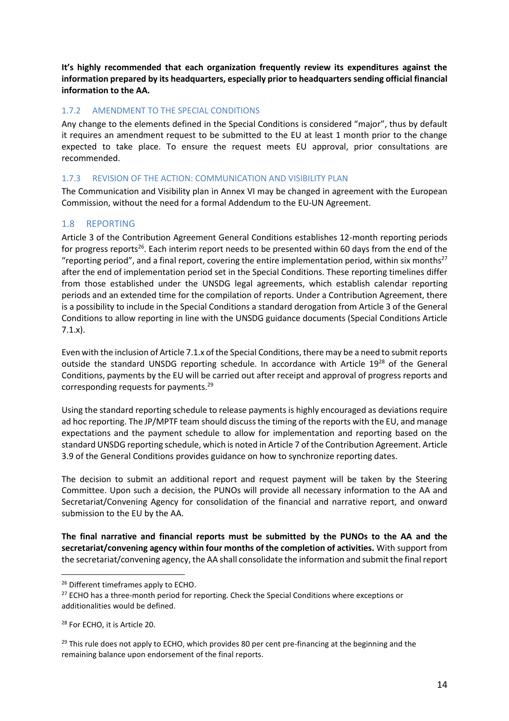**It's highly recommended that each organization frequently review its expenditures against the information prepared by its headquarters, especially prior to headquarters sending official financial information to the AA.** 

#### <span id="page-14-0"></span>1.7.2 AMENDMENT TO THE SPECIAL CONDITIONS

Any change to the elements defined in the Special Conditions is considered "major", thus by default it requires an amendment request to be submitted to the EU at least 1 month prior to the change expected to take place. To ensure the request meets EU approval, prior consultations are recommended.

#### <span id="page-14-1"></span>1.7.3 REVISION OF THE ACTION: COMMUNICATION AND VISIBILITY PLAN

The Communication and Visibility plan in Annex VI may be changed in agreement with the European Commission, without the need for a formal Addendum to the EU-UN Agreement.

## <span id="page-14-2"></span>1.8 REPORTING

Article 3 of the Contribution Agreement General Conditions establishes 12-month reporting periods for progress reports<sup>26</sup>. Each interim report needs to be presented within 60 days from the end of the "reporting period", and a final report, covering the entire implementation period, within six months<sup>27</sup> after the end of implementation period set in the Special Conditions. These reporting timelines differ from those established under the UNSDG legal agreements, which establish calendar reporting periods and an extended time for the compilation of reports. Under a Contribution Agreement, there is a possibility to include in the Special Conditions a standard derogation from Article 3 of the General Conditions to allow reporting in line with the UNSDG guidance documents (Special Conditions Article 7.1.x).

Even with the inclusion of Article 7.1.x of the Special Conditions, there may be a need to submit reports outside the standard UNSDG reporting schedule. In accordance with Article 19<sup>28</sup> of the General Conditions, payments by the EU will be carried out after receipt and approval of progress reports and corresponding requests for payments.<sup>29</sup>

Using the standard reporting schedule to release payments is highly encouraged as deviations require ad hoc reporting. The JP/MPTF team should discuss the timing of the reports with the EU, and manage expectations and the payment schedule to allow for implementation and reporting based on the standard UNSDG reporting schedule, which is noted in Article 7 of the Contribution Agreement. Article 3.9 of the General Conditions provides guidance on how to synchronize reporting dates.

The decision to submit an additional report and request payment will be taken by the Steering Committee. Upon such a decision, the PUNOs will provide all necessary information to the AA and Secretariat/Convening Agency for consolidation of the financial and narrative report, and onward submission to the EU by the AA.

**The final narrative and financial reports must be submitted by the PUNOs to the AA and the secretariat/convening agency within four months of the completion of activities.** With support from the secretariat/convening agency, the AA shall consolidate the information and submit the final report

<sup>&</sup>lt;sup>26</sup> Different timeframes apply to ECHO.

<sup>&</sup>lt;sup>27</sup> ECHO has a three-month period for reporting. Check the Special Conditions where exceptions or additionalities would be defined.

<sup>28</sup> For ECHO, it is Article 20.

 $29$  This rule does not apply to ECHO, which provides 80 per cent pre-financing at the beginning and the remaining balance upon endorsement of the final reports.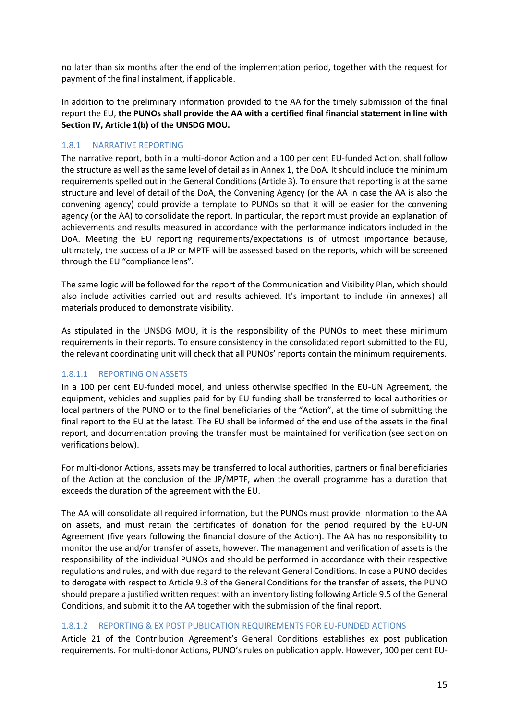no later than six months after the end of the implementation period, together with the request for payment of the final instalment, if applicable.

In addition to the preliminary information provided to the AA for the timely submission of the final report the EU, **the PUNOs shall provide the AA with a certified final financial statement in line with Section IV, Article 1(b) of the UNSDG MOU.**

#### <span id="page-15-0"></span>1.8.1 NARRATIVE REPORTING

The narrative report, both in a multi-donor Action and a 100 per cent EU-funded Action, shall follow the structure as well as the same level of detail as in Annex 1, the DoA. It should include the minimum requirements spelled out in the General Conditions (Article 3). To ensure that reporting is at the same structure and level of detail of the DoA, the Convening Agency (or the AA in case the AA is also the convening agency) could provide a template to PUNOs so that it will be easier for the convening agency (or the AA) to consolidate the report. In particular, the report must provide an explanation of achievements and results measured in accordance with the performance indicators included in the DoA. Meeting the EU reporting requirements/expectations is of utmost importance because, ultimately, the success of a JP or MPTF will be assessed based on the reports, which will be screened through the EU "compliance lens".

The same logic will be followed for the report of the Communication and Visibility Plan, which should also include activities carried out and results achieved. It's important to include (in annexes) all materials produced to demonstrate visibility.

As stipulated in the UNSDG MOU, it is the responsibility of the PUNOs to meet these minimum requirements in their reports. To ensure consistency in the consolidated report submitted to the EU, the relevant coordinating unit will check that all PUNOs' reports contain the minimum requirements.

#### 1.8.1.1 REPORTING ON ASSETS

In a 100 per cent EU-funded model, and unless otherwise specified in the EU-UN Agreement, the equipment, vehicles and supplies paid for by EU funding shall be transferred to local authorities or local partners of the PUNO or to the final beneficiaries of the "Action", at the time of submitting the final report to the EU at the latest. The EU shall be informed of the end use of the assets in the final report, and documentation proving the transfer must be maintained for verification (see section on verifications below).

For multi-donor Actions, assets may be transferred to local authorities, partners or final beneficiaries of the Action at the conclusion of the JP/MPTF, when the overall programme has a duration that exceeds the duration of the agreement with the EU.

The AA will consolidate all required information, but the PUNOs must provide information to the AA on assets, and must retain the certificates of donation for the period required by the EU-UN Agreement (five years following the financial closure of the Action). The AA has no responsibility to monitor the use and/or transfer of assets, however. The management and verification of assets is the responsibility of the individual PUNOs and should be performed in accordance with their respective regulations and rules, and with due regard to the relevant General Conditions. In case a PUNO decides to derogate with respect to Article 9.3 of the General Conditions for the transfer of assets, the PUNO should prepare a justified written request with an inventory listing following Article 9.5 of the General Conditions, and submit it to the AA together with the submission of the final report.

#### 1.8.1.2 REPORTING & EX POST PUBLICATION REQUIREMENTS FOR EU-FUNDED ACTIONS

Article 21 of the Contribution Agreement's General Conditions establishes ex post publication requirements. For multi-donor Actions, PUNO's rules on publication apply. However, 100 per cent EU-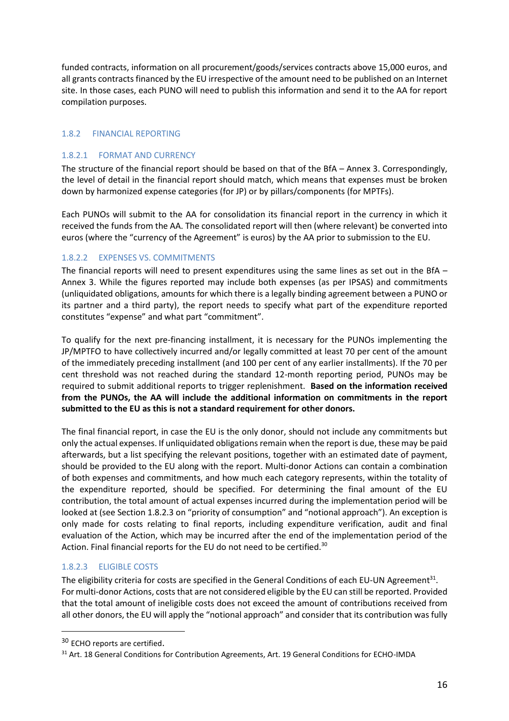funded contracts, information on all procurement/goods/services contracts above 15,000 euros, and all grants contracts financed by the EU irrespective of the amount need to be published on an Internet site. In those cases, each PUNO will need to publish this information and send it to the AA for report compilation purposes.

#### <span id="page-16-0"></span>1.8.2 FINANCIAL REPORTING

#### 1.8.2.1 FORMAT AND CURRENCY

The structure of the financial report should be based on that of the BfA – Annex 3. Correspondingly, the level of detail in the financial report should match, which means that expenses must be broken down by harmonized expense categories (for JP) or by pillars/components (for MPTFs).

Each PUNOs will submit to the AA for consolidation its financial report in the currency in which it received the funds from the AA. The consolidated report will then (where relevant) be converted into euros (where the "currency of the Agreement" is euros) by the AA prior to submission to the EU.

#### 1.8.2.2 EXPENSES VS. COMMITMENTS

The financial reports will need to present expenditures using the same lines as set out in the BfA – Annex 3. While the figures reported may include both expenses (as per IPSAS) and commitments (unliquidated obligations, amounts for which there is a legally binding agreement between a PUNO or its partner and a third party), the report needs to specify what part of the expenditure reported constitutes "expense" and what part "commitment".

To qualify for the next pre-financing installment, it is necessary for the PUNOs implementing the JP/MPTFO to have collectively incurred and/or legally committed at least 70 per cent of the amount of the immediately preceding installment (and 100 per cent of any earlier installments). If the 70 per cent threshold was not reached during the standard 12-month reporting period, PUNOs may be required to submit additional reports to trigger replenishment. **Based on the information received from the PUNOs, the AA will include the additional information on commitments in the report submitted to the EU as this is not a standard requirement for other donors.**

The final financial report, in case the EU is the only donor, should not include any commitments but only the actual expenses. If unliquidated obligations remain when the report is due, these may be paid afterwards, but a list specifying the relevant positions, together with an estimated date of payment, should be provided to the EU along with the report. Multi-donor Actions can contain a combination of both expenses and commitments, and how much each category represents, within the totality of the expenditure reported, should be specified. For determining the final amount of the EU contribution, the total amount of actual expenses incurred during the implementation period will be looked at (see Section 1.8.2.3 on "priority of consumption" and "notional approach"). An exception is only made for costs relating to final reports, including expenditure verification, audit and final evaluation of the Action, which may be incurred after the end of the implementation period of the Action. Final financial reports for the EU do not need to be certified.<sup>30</sup>

#### 1.8.2.3 ELIGIBLE COSTS

The eligibility criteria for costs are specified in the General Conditions of each EU-UN Agreement<sup>31</sup>. For multi-donor Actions, costs that are not considered eligible by the EU can still be reported. Provided that the total amount of ineligible costs does not exceed the amount of contributions received from all other donors, the EU will apply the "notional approach" and consider that its contribution was fully

<sup>&</sup>lt;sup>30</sup> ECHO reports are certified.

<sup>&</sup>lt;sup>31</sup> Art. 18 General Conditions for Contribution Agreements, Art. 19 General Conditions for ECHO-IMDA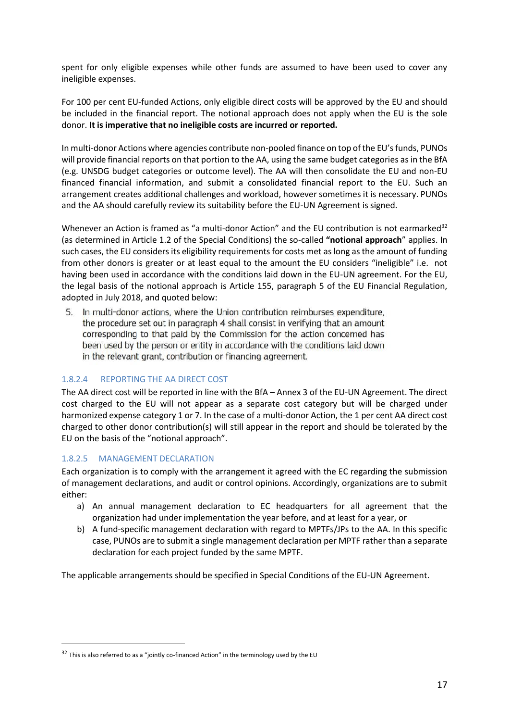spent for only eligible expenses while other funds are assumed to have been used to cover any ineligible expenses.

For 100 per cent EU-funded Actions, only eligible direct costs will be approved by the EU and should be included in the financial report. The notional approach does not apply when the EU is the sole donor. **It is imperative that no ineligible costs are incurred or reported.**

In multi-donor Actions where agencies contribute non-pooled finance on top of the EU's funds, PUNOs will provide financial reports on that portion to the AA, using the same budget categories as in the BfA (e.g. UNSDG budget categories or outcome level). The AA will then consolidate the EU and non-EU financed financial information, and submit a consolidated financial report to the EU. Such an arrangement creates additional challenges and workload, however sometimes it is necessary. PUNOs and the AA should carefully review its suitability before the EU-UN Agreement is signed.

Whenever an Action is framed as "a multi-donor Action" and the EU contribution is not earmarked $32$ (as determined in Article 1.2 of the Special Conditions) the so-called **"notional approach**" applies. In such cases, the EU considers its eligibility requirements for costs met as long as the amount of funding from other donors is greater or at least equal to the amount the EU considers "ineligible" i.e. not having been used in accordance with the conditions laid down in the EU-UN agreement. For the EU, the legal basis of the notional approach is Article 155, paragraph 5 of the EU Financial Regulation, adopted in July 2018, and quoted below:

5. In multi-donor actions, where the Union contribution reimburses expenditure, the procedure set out in paragraph 4 shall consist in verifying that an amount corresponding to that paid by the Commission for the action concerned has been used by the person or entity in accordance with the conditions laid down in the relevant grant, contribution or financing agreement.

#### 1.8.2.4 REPORTING THE AA DIRECT COST

The AA direct cost will be reported in line with the BfA – Annex 3 of the EU-UN Agreement. The direct cost charged to the EU will not appear as a separate cost category but will be charged under harmonized expense category 1 or 7. In the case of a multi-donor Action, the 1 per cent AA direct cost charged to other donor contribution(s) will still appear in the report and should be tolerated by the EU on the basis of the "notional approach".

#### 1.8.2.5 MANAGEMENT DECLARATION

Each organization is to comply with the arrangement it agreed with the EC regarding the submission of management declarations, and audit or control opinions. Accordingly, organizations are to submit either:

- a) An annual management declaration to EC headquarters for all agreement that the organization had under implementation the year before, and at least for a year, or
- b) A fund-specific management declaration with regard to MPTFs/JPs to the AA. In this specific case, PUNOs are to submit a single management declaration per MPTF rather than a separate declaration for each project funded by the same MPTF.

The applicable arrangements should be specified in Special Conditions of the EU-UN Agreement.

 $32$  This is also referred to as a "jointly co-financed Action" in the terminology used by the EU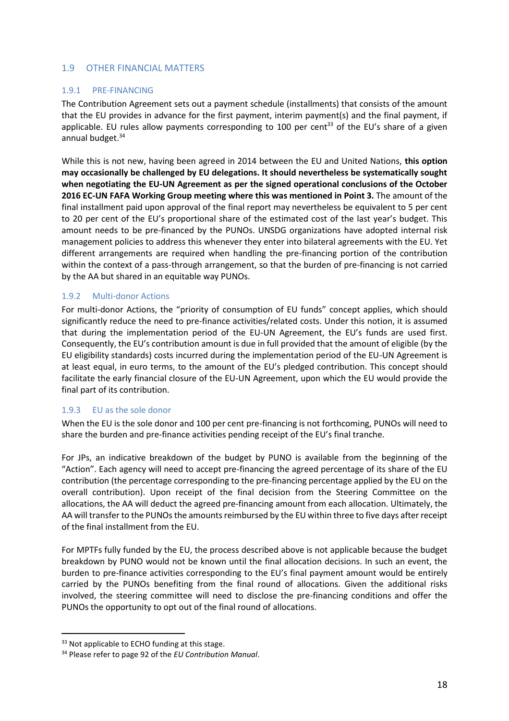## <span id="page-18-0"></span>1.9 OTHER FINANCIAL MATTERS

#### <span id="page-18-1"></span>1.9.1 PRE-FINANCING

The Contribution Agreement sets out a payment schedule (installments) that consists of the amount that the EU provides in advance for the first payment, interim payment(s) and the final payment, if applicable. EU rules allow payments corresponding to 100 per cent<sup>33</sup> of the EU's share of a given annual budget.<sup>34</sup>

While this is not new, having been agreed in 2014 between the EU and United Nations, **this option may occasionally be challenged by EU delegations. It should nevertheless be systematically sought when negotiating the EU-UN Agreement as per the signed operational conclusions of the October 2016 EC-UN FAFA Working Group meeting where this was mentioned in Point 3.** The amount of the final installment paid upon approval of the final report may nevertheless be equivalent to 5 per cent to 20 per cent of the EU's proportional share of the estimated cost of the last year's budget. This amount needs to be pre-financed by the PUNOs. UNSDG organizations have adopted internal risk management policies to address this whenever they enter into bilateral agreements with the EU. Yet different arrangements are required when handling the pre-financing portion of the contribution within the context of a pass-through arrangement, so that the burden of pre-financing is not carried by the AA but shared in an equitable way PUNOs.

#### <span id="page-18-2"></span>1.9.2 Multi-donor Actions

For multi-donor Actions, the "priority of consumption of EU funds" concept applies, which should significantly reduce the need to pre-finance activities/related costs. Under this notion, it is assumed that during the implementation period of the EU-UN Agreement, the EU's funds are used first. Consequently, the EU's contribution amount is due in full provided that the amount of eligible (by the EU eligibility standards) costs incurred during the implementation period of the EU-UN Agreement is at least equal, in euro terms, to the amount of the EU's pledged contribution. This concept should facilitate the early financial closure of the EU-UN Agreement, upon which the EU would provide the final part of its contribution.

#### <span id="page-18-3"></span>1.9.3 EU as the sole donor

When the EU is the sole donor and 100 per cent pre-financing is not forthcoming, PUNOs will need to share the burden and pre-finance activities pending receipt of the EU's final tranche.

For JPs, an indicative breakdown of the budget by PUNO is available from the beginning of the "Action". Each agency will need to accept pre-financing the agreed percentage of its share of the EU contribution (the percentage corresponding to the pre-financing percentage applied by the EU on the overall contribution). Upon receipt of the final decision from the Steering Committee on the allocations, the AA will deduct the agreed pre-financing amount from each allocation. Ultimately, the AA will transfer to the PUNOs the amounts reimbursed by the EU within three to five days after receipt of the final installment from the EU.

For MPTFs fully funded by the EU, the process described above is not applicable because the budget breakdown by PUNO would not be known until the final allocation decisions. In such an event, the burden to pre-finance activities corresponding to the EU's final payment amount would be entirely carried by the PUNOs benefiting from the final round of allocations. Given the additional risks involved, the steering committee will need to disclose the pre-financing conditions and offer the PUNOs the opportunity to opt out of the final round of allocations.

<sup>&</sup>lt;sup>33</sup> Not applicable to ECHO funding at this stage.

<sup>34</sup> Please refer to page 92 of the *EU Contribution Manual*.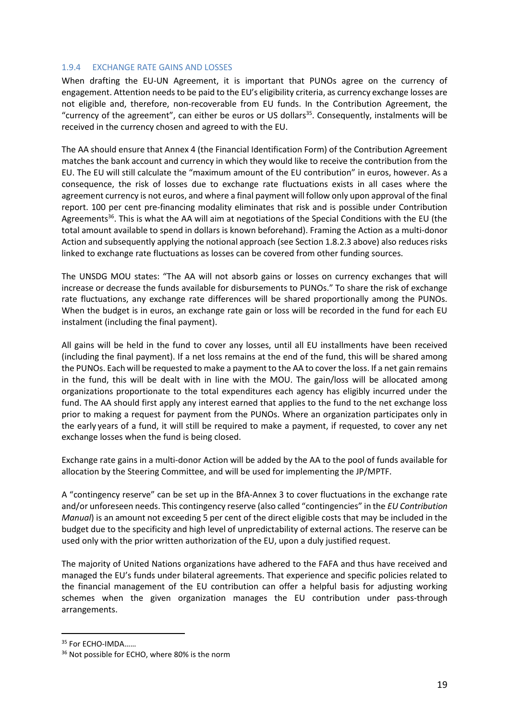#### <span id="page-19-0"></span>1.9.4 EXCHANGE RATE GAINS AND LOSSES

When drafting the EU-UN Agreement, it is important that PUNOs agree on the currency of engagement. Attention needs to be paid to the EU's eligibility criteria, as currency exchange losses are not eligible and, therefore, non-recoverable from EU funds. In the Contribution Agreement, the "currency of the agreement", can either be euros or US dollars<sup>35</sup>. Consequently, instalments will be received in the currency chosen and agreed to with the EU.

The AA should ensure that Annex 4 (the Financial Identification Form) of the Contribution Agreement matches the bank account and currency in which they would like to receive the contribution from the EU. The EU will still calculate the "maximum amount of the EU contribution" in euros, however. As a consequence, the risk of losses due to exchange rate fluctuations exists in all cases where the agreement currency is not euros, and where a final payment will follow only upon approval of the final report. 100 per cent pre-financing modality eliminates that risk and is possible under Contribution Agreements<sup>36</sup>. This is what the AA will aim at negotiations of the Special Conditions with the EU (the total amount available to spend in dollars is known beforehand). Framing the Action as a multi-donor Action and subsequently applying the notional approach (see Section 1.8.2.3 above) also reduces risks linked to exchange rate fluctuations as losses can be covered from other funding sources.

The UNSDG MOU states: "The AA will not absorb gains or losses on currency exchanges that will increase or decrease the funds available for disbursements to PUNOs." To share the risk of exchange rate fluctuations, any exchange rate differences will be shared proportionally among the PUNOs. When the budget is in euros, an exchange rate gain or loss will be recorded in the fund for each EU instalment (including the final payment).

All gains will be held in the fund to cover any losses, until all EU installments have been received (including the final payment). If a net loss remains at the end of the fund, this will be shared among the PUNOs. Each will be requested to make a payment to the AA to cover the loss. If a net gain remains in the fund, this will be dealt with in line with the MOU. The gain/loss will be allocated among organizations proportionate to the total expenditures each agency has eligibly incurred under the fund. The AA should first apply any interest earned that applies to the fund to the net exchange loss prior to making a request for payment from the PUNOs. Where an organization participates only in the early years of a fund, it will still be required to make a payment, if requested, to cover any net exchange losses when the fund is being closed.

Exchange rate gains in a multi-donor Action will be added by the AA to the pool of funds available for allocation by the Steering Committee, and will be used for implementing the JP/MPTF.

A "contingency reserve" can be set up in the BfA-Annex 3 to cover fluctuations in the exchange rate and/or unforeseen needs. This contingency reserve (also called "contingencies" in the *EU Contribution Manual*) is an amount not exceeding 5 per cent of the direct eligible costs that may be included in the budget due to the specificity and high level of unpredictability of external actions. The reserve can be used only with the prior written authorization of the EU, upon a duly justified request.

The majority of United Nations organizations have adhered to the FAFA and thus have received and managed the EU's funds under bilateral agreements. That experience and specific policies related to the financial management of the EU contribution can offer a helpful basis for adjusting working schemes when the given organization manages the EU contribution under pass-through arrangements.

<sup>&</sup>lt;sup>35</sup> For ECHO-IMDA......

<sup>&</sup>lt;sup>36</sup> Not possible for ECHO, where 80% is the norm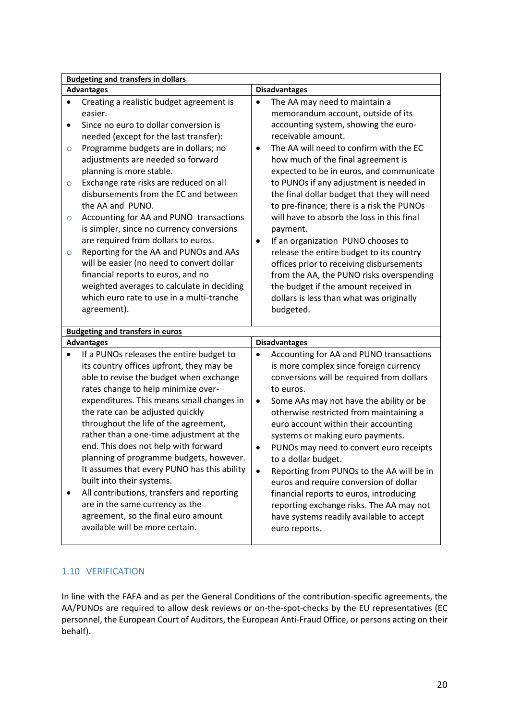| <b>Budgeting and transfers in dollars</b>                                                                                                                                                                                                                                                                                                                                                                                                                                                                                                                                                                                                                                                                                                                                                          |                                                                                                                                                                                                                                                                                                                                                                                                                                                                                                                                                                                                                                                                                                                                                 |  |  |
|----------------------------------------------------------------------------------------------------------------------------------------------------------------------------------------------------------------------------------------------------------------------------------------------------------------------------------------------------------------------------------------------------------------------------------------------------------------------------------------------------------------------------------------------------------------------------------------------------------------------------------------------------------------------------------------------------------------------------------------------------------------------------------------------------|-------------------------------------------------------------------------------------------------------------------------------------------------------------------------------------------------------------------------------------------------------------------------------------------------------------------------------------------------------------------------------------------------------------------------------------------------------------------------------------------------------------------------------------------------------------------------------------------------------------------------------------------------------------------------------------------------------------------------------------------------|--|--|
| <b>Advantages</b>                                                                                                                                                                                                                                                                                                                                                                                                                                                                                                                                                                                                                                                                                                                                                                                  | <b>Disadvantages</b>                                                                                                                                                                                                                                                                                                                                                                                                                                                                                                                                                                                                                                                                                                                            |  |  |
| Creating a realistic budget agreement is<br>$\bullet$<br>easier.<br>Since no euro to dollar conversion is<br>$\bullet$<br>needed (except for the last transfer):<br>Programme budgets are in dollars; no<br>$\circ$<br>adjustments are needed so forward<br>planning is more stable.<br>Exchange rate risks are reduced on all<br>$\circ$<br>disbursements from the EC and between<br>the AA and PUNO.<br>Accounting for AA and PUNO transactions<br>$\circ$<br>is simpler, since no currency conversions<br>are required from dollars to euros.<br>Reporting for the AA and PUNOs and AAs<br>$\circ$<br>will be easier (no need to convert dollar<br>financial reports to euros, and no<br>weighted averages to calculate in deciding<br>which euro rate to use in a multi-tranche<br>agreement). | The AA may need to maintain a<br>memorandum account, outside of its<br>accounting system, showing the euro-<br>receivable amount.<br>The AA will need to confirm with the EC<br>٠<br>how much of the final agreement is<br>expected to be in euros, and communicate<br>to PUNOs if any adjustment is needed in<br>the final dollar budget that they will need<br>to pre-finance; there is a risk the PUNOs<br>will have to absorb the loss in this final<br>payment.<br>If an organization PUNO chooses to<br>release the entire budget to its country<br>offices prior to receiving disbursements<br>from the AA, the PUNO risks overspending<br>the budget if the amount received in<br>dollars is less than what was originally<br>budgeted. |  |  |
| <b>Budgeting and transfers in euros</b>                                                                                                                                                                                                                                                                                                                                                                                                                                                                                                                                                                                                                                                                                                                                                            |                                                                                                                                                                                                                                                                                                                                                                                                                                                                                                                                                                                                                                                                                                                                                 |  |  |
| <b>Advantages</b>                                                                                                                                                                                                                                                                                                                                                                                                                                                                                                                                                                                                                                                                                                                                                                                  | <b>Disadvantages</b>                                                                                                                                                                                                                                                                                                                                                                                                                                                                                                                                                                                                                                                                                                                            |  |  |
| If a PUNOs releases the entire budget to<br>$\bullet$<br>its country offices upfront, they may be<br>able to revise the budget when exchange<br>rates change to help minimize over-<br>expenditures. This means small changes in<br>the rate can be adjusted quickly<br>throughout the life of the agreement,<br>rather than a one-time adjustment at the<br>end. This does not help with forward<br>planning of programme budgets, however.<br>It assumes that every PUNO has this ability<br>built into their systems.<br>All contributions, transfers and reporting<br>٠<br>are in the same currency as the<br>agreement, so the final euro amount<br>available will be more certain.                                                                                                           | Accounting for AA and PUNO transactions<br>٠<br>is more complex since foreign currency<br>conversions will be required from dollars<br>to euros.<br>Some AAs may not have the ability or be<br>$\bullet$<br>otherwise restricted from maintaining a<br>euro account within their accounting<br>systems or making euro payments.<br>PUNOs may need to convert euro receipts<br>٠<br>to a dollar budget.<br>Reporting from PUNOs to the AA will be in<br>$\bullet$<br>euros and require conversion of dollar<br>financial reports to euros, introducing<br>reporting exchange risks. The AA may not<br>have systems readily available to accept<br>euro reports.                                                                                  |  |  |

# <span id="page-20-0"></span>1.10 VERIFICATION

In line with the FAFA and as per the General Conditions of the contribution-specific agreements, the AA/PUNOs are required to allow desk reviews or on-the-spot-checks by the EU representatives (EC personnel, the European Court of Auditors, the European Anti-Fraud Office, or persons acting on their behalf).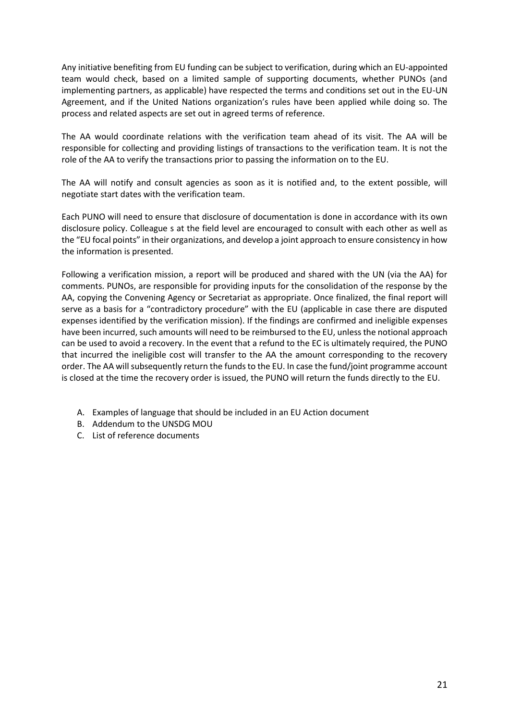Any initiative benefiting from EU funding can be subject to verification, during which an EU-appointed team would check, based on a limited sample of supporting documents, whether PUNOs (and implementing partners, as applicable) have respected the terms and conditions set out in the EU-UN Agreement, and if the United Nations organization's rules have been applied while doing so. The process and related aspects are set out in agreed terms of reference.

The AA would coordinate relations with the verification team ahead of its visit. The AA will be responsible for collecting and providing listings of transactions to the verification team. It is not the role of the AA to verify the transactions prior to passing the information on to the EU.

The AA will notify and consult agencies as soon as it is notified and, to the extent possible, will negotiate start dates with the verification team.

Each PUNO will need to ensure that disclosure of documentation is done in accordance with its own disclosure policy. Colleague s at the field level are encouraged to consult with each other as well as the "EU focal points" in their organizations, and develop a joint approach to ensure consistency in how the information is presented.

Following a verification mission, a report will be produced and shared with the UN (via the AA) for comments. PUNOs, are responsible for providing inputs for the consolidation of the response by the AA, copying the Convening Agency or Secretariat as appropriate. Once finalized, the final report will serve as a basis for a "contradictory procedure" with the EU (applicable in case there are disputed expenses identified by the verification mission). If the findings are confirmed and ineligible expenses have been incurred, such amounts will need to be reimbursed to the EU, unless the notional approach can be used to avoid a recovery. In the event that a refund to the EC is ultimately required, the PUNO that incurred the ineligible cost will transfer to the AA the amount corresponding to the recovery order. The AA will subsequently return the funds to the EU. In case the fund/joint programme account is closed at the time the recovery order is issued, the PUNO will return the funds directly to the EU.

- A. Examples of language that should be included in an EU Action document
- B. Addendum to the UNSDG MOU
- C. List of reference documents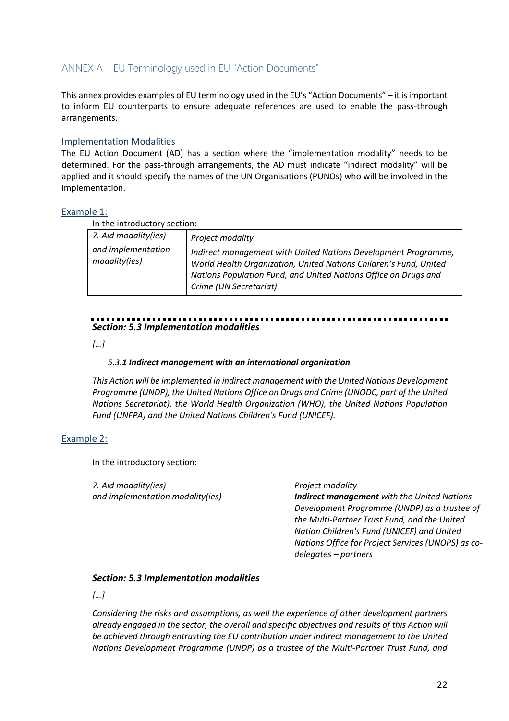# <span id="page-22-0"></span>ANNEX A – EU Terminology used in EU "Action Documents"

This annex provides examples of EU terminology used in the EU's "Action Documents" – it is important to inform EU counterparts to ensure adequate references are used to enable the pass-through arrangements.

#### Implementation Modalities

The EU Action Document (AD) has a section where the "implementation modality" needs to be determined. For the pass-through arrangements, the AD must indicate "indirect modality" will be applied and it should specify the names of the UN Organisations (PUNOs) who will be involved in the implementation.

#### Example 1:

In the introductory section:

| 7. Aid modality(ies)                | Project modality                                                                                                                                                                                                                 |
|-------------------------------------|----------------------------------------------------------------------------------------------------------------------------------------------------------------------------------------------------------------------------------|
| and implementation<br>modality(ies) | Indirect management with United Nations Development Programme,<br>World Health Organization, United Nations Children's Fund, United<br>Nations Population Fund, and United Nations Office on Drugs and<br>Crime (UN Secretariat) |
|                                     |                                                                                                                                                                                                                                  |

# *Section: 5.3 Implementation modalities*

*[…]* 

#### *5.3.1 Indirect management with an international organization*

*This Action will be implemented in indirect management with the United Nations Development Programme (UNDP), the United Nations Office on Drugs and Crime (UNODC, part of the United Nations Secretariat), the World Health Organization (WHO), the United Nations Population Fund (UNFPA) and the United Nations Children's Fund (UNICEF).*

#### Example 2:

In the introductory section:

*7. Aid modality(ies) and implementation modality(ies)* 

#### *Project modality*

*Indirect management with the United Nations Development Programme (UNDP) as a trustee of the Multi-Partner Trust Fund, and the United Nation Children's Fund (UNICEF) and United Nations Office for Project Services (UNOPS) as codelegates – partners* 

#### *Section: 5.3 Implementation modalities*

*[…]* 

*Considering the risks and assumptions, as well the experience of other development partners already engaged in the sector, the overall and specific objectives and results of this Action will be achieved through entrusting the EU contribution under indirect management to the United Nations Development Programme (UNDP) as a trustee of the Multi-Partner Trust Fund, and*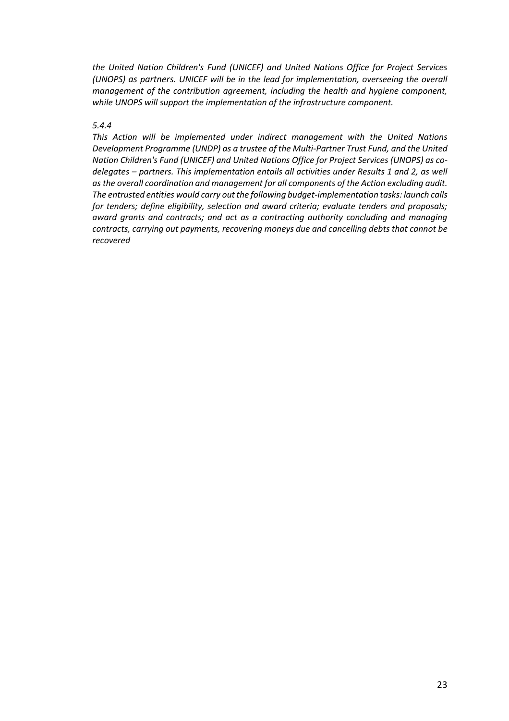*the United Nation Children's Fund (UNICEF) and United Nations Office for Project Services (UNOPS) as partners. UNICEF will be in the lead for implementation, overseeing the overall management of the contribution agreement, including the health and hygiene component, while UNOPS will support the implementation of the infrastructure component.*

#### *5.4.4*

*This Action will be implemented under indirect management with the United Nations Development Programme (UNDP) as a trustee of the Multi-Partner Trust Fund, and the United Nation Children's Fund (UNICEF) and United Nations Office for Project Services (UNOPS) as codelegates – partners. This implementation entails all activities under Results 1 and 2, as well as the overall coordination and management for all components of the Action excluding audit. The entrusted entities would carry out the following budget-implementation tasks: launch calls for tenders; define eligibility, selection and award criteria; evaluate tenders and proposals; award grants and contracts; and act as a contracting authority concluding and managing contracts, carrying out payments, recovering moneys due and cancelling debts that cannot be recovered*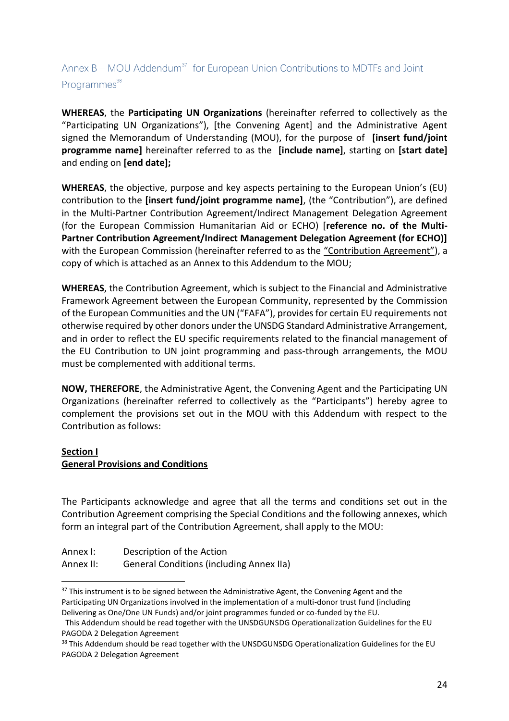# <span id="page-24-0"></span>Annex  $B - MOU$  Addendum<sup>37</sup> for European Union Contributions to MDTFs and Joint Programmes<sup>38</sup>

**WHEREAS**, the **Participating UN Organizations** (hereinafter referred to collectively as the "Participating UN Organizations"), [the Convening Agent] and the Administrative Agent signed the Memorandum of Understanding (MOU), for the purpose of **[insert fund/joint programme name]** hereinafter referred to as the **[include name]**, starting on **[start date]** and ending on **[end date];**

**WHEREAS**, the objective, purpose and key aspects pertaining to the European Union's (EU) contribution to the **[insert fund/joint programme name]**, (the "Contribution"), are defined in the Multi-Partner Contribution Agreement/Indirect Management Delegation Agreement (for the European Commission Humanitarian Aid or ECHO) [**reference no. of the Multi-Partner Contribution Agreement/Indirect Management Delegation Agreement (for ECHO)]** with the European Commission (hereinafter referred to as the "Contribution Agreement"), a copy of which is attached as an Annex to this Addendum to the MOU;

**WHEREAS**, the Contribution Agreement, which is subject to the Financial and Administrative Framework Agreement between the European Community, represented by the Commission of the European Communities and the UN ("FAFA"), provides for certain EU requirements not otherwise required by other donors under the UNSDG Standard Administrative Arrangement, and in order to reflect the EU specific requirements related to the financial management of the EU Contribution to UN joint programming and pass-through arrangements, the MOU must be complemented with additional terms.

**NOW, THEREFORE**, the Administrative Agent, the Convening Agent and the Participating UN Organizations (hereinafter referred to collectively as the "Participants") hereby agree to complement the provisions set out in the MOU with this Addendum with respect to the Contribution as follows:

## **Section I**

# **General Provisions and Conditions**

The Participants acknowledge and agree that all the terms and conditions set out in the Contribution Agreement comprising the Special Conditions and the following annexes, which form an integral part of the Contribution Agreement, shall apply to the MOU:

| Annex I: |  |  | Description of the Action |  |  |  |  |
|----------|--|--|---------------------------|--|--|--|--|
|          |  |  |                           |  |  |  |  |

Annex II: General Conditions (including Annex IIa)

<sup>&</sup>lt;sup>37</sup> This instrument is to be signed between the Administrative Agent, the Convening Agent and the Participating UN Organizations involved in the implementation of a multi-donor trust fund (including Delivering as One/One UN Funds) and/or joint programmes funded or co-funded by the EU.

This Addendum should be read together with the UNSDGUNSDG Operationalization Guidelines for the EU PAGODA 2 Delegation Agreement

<sup>&</sup>lt;sup>38</sup> This Addendum should be read together with the UNSDGUNSDG Operationalization Guidelines for the EU PAGODA 2 Delegation Agreement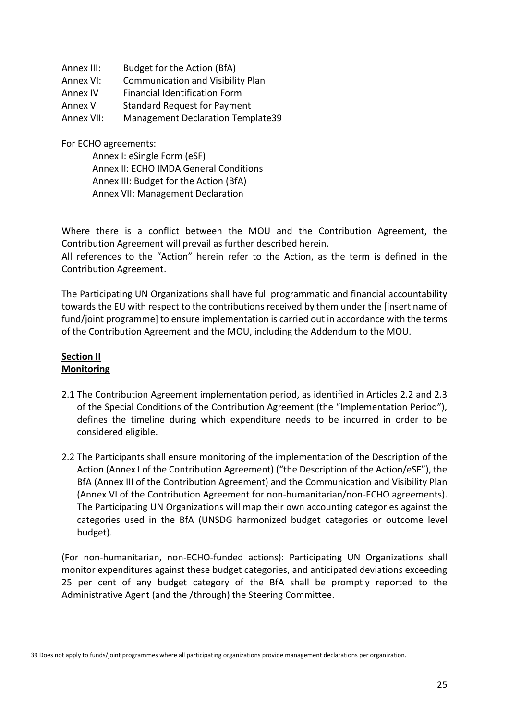| Annex III: | Budget for the Action (BfA)              |
|------------|------------------------------------------|
| Annex VI:  | <b>Communication and Visibility Plan</b> |
| Annex IV   | <b>Financial Identification Form</b>     |
| Annex V    | <b>Standard Request for Payment</b>      |
| Annex VII: | <b>Management Declaration Template39</b> |

For ECHO agreements:

Annex I: eSingle Form (eSF) Annex II: ECHO IMDA General Conditions Annex III: Budget for the Action (BfA) Annex VII: Management Declaration

Where there is a conflict between the MOU and the Contribution Agreement, the Contribution Agreement will prevail as further described herein.

All references to the "Action" herein refer to the Action, as the term is defined in the Contribution Agreement.

The Participating UN Organizations shall have full programmatic and financial accountability towards the EU with respect to the contributions received by them under the [insert name of fund/joint programme] to ensure implementation is carried out in accordance with the terms of the Contribution Agreement and the MOU, including the Addendum to the MOU.

## **Section II Monitoring**

- 2.1 The Contribution Agreement implementation period, as identified in Articles 2.2 and 2.3 of the Special Conditions of the Contribution Agreement (the "Implementation Period"), defines the timeline during which expenditure needs to be incurred in order to be considered eligible.
- 2.2 The Participants shall ensure monitoring of the implementation of the Description of the Action (Annex I of the Contribution Agreement) ("the Description of the Action/eSF"), the BfA (Annex III of the Contribution Agreement) and the Communication and Visibility Plan (Annex VI of the Contribution Agreement for non-humanitarian/non-ECHO agreements). The Participating UN Organizations will map their own accounting categories against the categories used in the BfA (UNSDG harmonized budget categories or outcome level budget).

(For non-humanitarian, non-ECHO-funded actions): Participating UN Organizations shall monitor expenditures against these budget categories, and anticipated deviations exceeding 25 per cent of any budget category of the BfA shall be promptly reported to the Administrative Agent (and the /through) the Steering Committee.

<sup>39</sup> Does not apply to funds/joint programmes where all participating organizations provide management declarations per organization.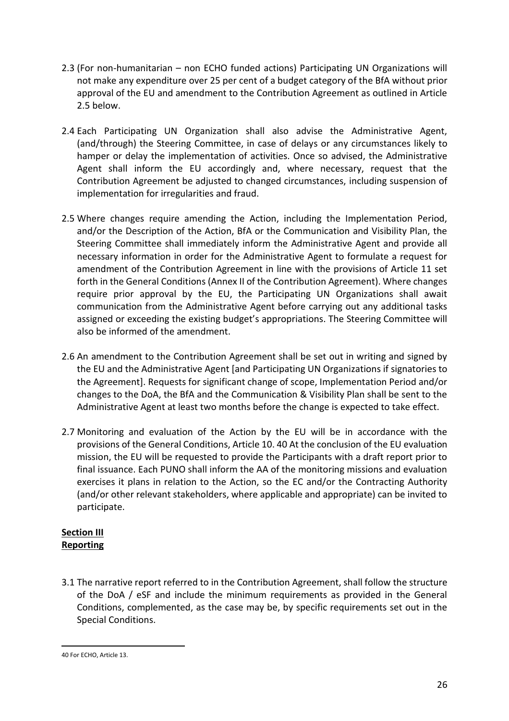- 2.3 (For non-humanitarian non ECHO funded actions) Participating UN Organizations will not make any expenditure over 25 per cent of a budget category of the BfA without prior approval of the EU and amendment to the Contribution Agreement as outlined in Article 2.5 below.
- 2.4 Each Participating UN Organization shall also advise the Administrative Agent, (and/through) the Steering Committee, in case of delays or any circumstances likely to hamper or delay the implementation of activities. Once so advised, the Administrative Agent shall inform the EU accordingly and, where necessary, request that the Contribution Agreement be adjusted to changed circumstances, including suspension of implementation for irregularities and fraud.
- 2.5 Where changes require amending the Action, including the Implementation Period, and/or the Description of the Action, BfA or the Communication and Visibility Plan, the Steering Committee shall immediately inform the Administrative Agent and provide all necessary information in order for the Administrative Agent to formulate a request for amendment of the Contribution Agreement in line with the provisions of Article 11 set forth in the General Conditions (Annex II of the Contribution Agreement). Where changes require prior approval by the EU, the Participating UN Organizations shall await communication from the Administrative Agent before carrying out any additional tasks assigned or exceeding the existing budget's appropriations. The Steering Committee will also be informed of the amendment.
- 2.6 An amendment to the Contribution Agreement shall be set out in writing and signed by the EU and the Administrative Agent [and Participating UN Organizations if signatories to the Agreement]. Requests for significant change of scope, Implementation Period and/or changes to the DoA, the BfA and the Communication & Visibility Plan shall be sent to the Administrative Agent at least two months before the change is expected to take effect.
- 2.7 Monitoring and evaluation of the Action by the EU will be in accordance with the provisions of the General Conditions, Article 10. 40 At the conclusion of the EU evaluation mission, the EU will be requested to provide the Participants with a draft report prior to final issuance. Each PUNO shall inform the AA of the monitoring missions and evaluation exercises it plans in relation to the Action, so the EC and/or the Contracting Authority (and/or other relevant stakeholders, where applicable and appropriate) can be invited to participate.

## **Section III Reporting**

3.1 The narrative report referred to in the Contribution Agreement, shall follow the structure of the DoA / eSF and include the minimum requirements as provided in the General Conditions, complemented, as the case may be, by specific requirements set out in the Special Conditions.

<sup>40</sup> For ECHO, Article 13.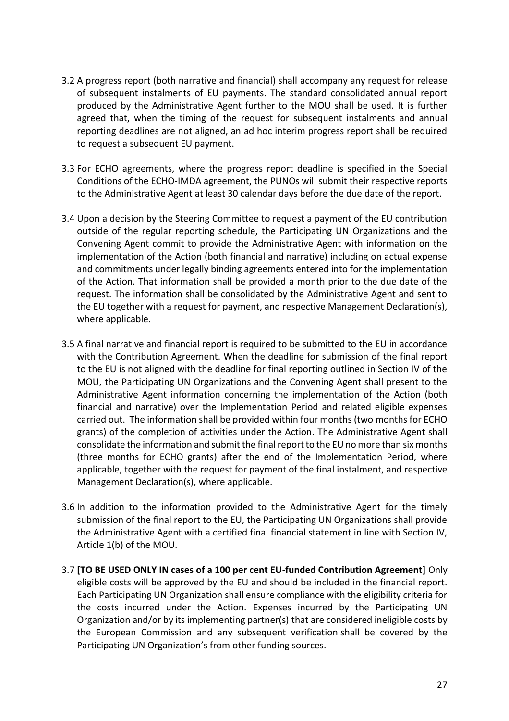- 3.2 A progress report (both narrative and financial) shall accompany any request for release of subsequent instalments of EU payments. The standard consolidated annual report produced by the Administrative Agent further to the MOU shall be used. It is further agreed that, when the timing of the request for subsequent instalments and annual reporting deadlines are not aligned, an ad hoc interim progress report shall be required to request a subsequent EU payment.
- 3.3 For ECHO agreements, where the progress report deadline is specified in the Special Conditions of the ECHO-IMDA agreement, the PUNOs will submit their respective reports to the Administrative Agent at least 30 calendar days before the due date of the report.
- 3.4 Upon a decision by the Steering Committee to request a payment of the EU contribution outside of the regular reporting schedule, the Participating UN Organizations and the Convening Agent commit to provide the Administrative Agent with information on the implementation of the Action (both financial and narrative) including on actual expense and commitments under legally binding agreements entered into for the implementation of the Action. That information shall be provided a month prior to the due date of the request. The information shall be consolidated by the Administrative Agent and sent to the EU together with a request for payment, and respective Management Declaration(s), where applicable.
- 3.5 A final narrative and financial report is required to be submitted to the EU in accordance with the Contribution Agreement. When the deadline for submission of the final report to the EU is not aligned with the deadline for final reporting outlined in Section IV of the MOU, the Participating UN Organizations and the Convening Agent shall present to the Administrative Agent information concerning the implementation of the Action (both financial and narrative) over the Implementation Period and related eligible expenses carried out. The information shall be provided within four months (two months for ECHO grants) of the completion of activities under the Action. The Administrative Agent shall consolidate the information and submit the final report to the EU no more than six months (three months for ECHO grants) after the end of the Implementation Period, where applicable, together with the request for payment of the final instalment, and respective Management Declaration(s), where applicable.
- 3.6 In addition to the information provided to the Administrative Agent for the timely submission of the final report to the EU, the Participating UN Organizations shall provide the Administrative Agent with a certified final financial statement in line with Section IV, Article 1(b) of the MOU.
- 3.7 **[TO BE USED ONLY IN cases of a 100 per cent EU-funded Contribution Agreement]** Only eligible costs will be approved by the EU and should be included in the financial report. Each Participating UN Organization shall ensure compliance with the eligibility criteria for the costs incurred under the Action. Expenses incurred by the Participating UN Organization and/or by its implementing partner(s) that are considered ineligible costs by the European Commission and any subsequent verification shall be covered by the Participating UN Organization's from other funding sources.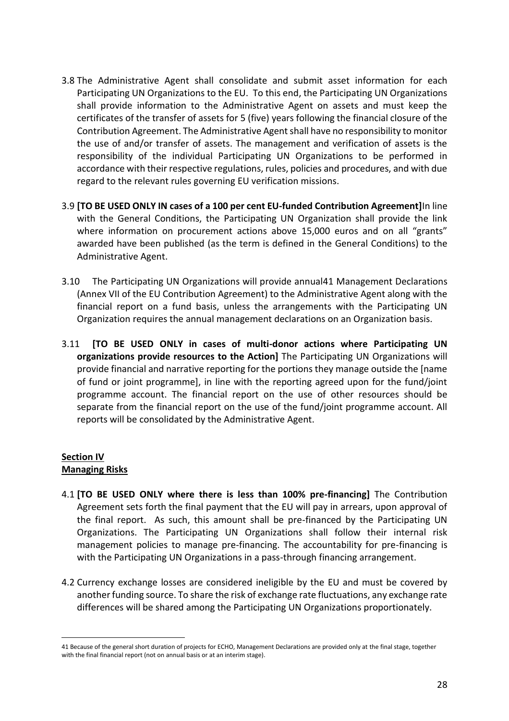- 3.8 The Administrative Agent shall consolidate and submit asset information for each Participating UN Organizations to the EU. To this end, the Participating UN Organizations shall provide information to the Administrative Agent on assets and must keep the certificates of the transfer of assets for 5 (five) years following the financial closure of the Contribution Agreement. The Administrative Agent shall have no responsibility to monitor the use of and/or transfer of assets. The management and verification of assets is the responsibility of the individual Participating UN Organizations to be performed in accordance with their respective regulations, rules, policies and procedures, and with due regard to the relevant rules governing EU verification missions.
- 3.9 **[TO BE USED ONLY IN cases of a 100 per cent EU-funded Contribution Agreement]**In line with the General Conditions, the Participating UN Organization shall provide the link where information on procurement actions above 15,000 euros and on all "grants" awarded have been published (as the term is defined in the General Conditions) to the Administrative Agent.
- 3.10 The Participating UN Organizations will provide annual41 Management Declarations (Annex VII of the EU Contribution Agreement) to the Administrative Agent along with the financial report on a fund basis, unless the arrangements with the Participating UN Organization requires the annual management declarations on an Organization basis.
- 3.11 **[TO BE USED ONLY in cases of multi-donor actions where Participating UN organizations provide resources to the Action]** The Participating UN Organizations will provide financial and narrative reporting for the portions they manage outside the [name of fund or joint programme], in line with the reporting agreed upon for the fund/joint programme account. The financial report on the use of other resources should be separate from the financial report on the use of the fund/joint programme account. All reports will be consolidated by the Administrative Agent.

## **Section IV Managing Risks**

- 4.1 **[TO BE USED ONLY where there is less than 100% pre-financing]** The Contribution Agreement sets forth the final payment that the EU will pay in arrears, upon approval of the final report. As such, this amount shall be pre-financed by the Participating UN Organizations. The Participating UN Organizations shall follow their internal risk management policies to manage pre-financing. The accountability for pre-financing is with the Participating UN Organizations in a pass-through financing arrangement.
- 4.2 Currency exchange losses are considered ineligible by the EU and must be covered by another funding source. To share the risk of exchange rate fluctuations, any exchange rate differences will be shared among the Participating UN Organizations proportionately.

<sup>41</sup> Because of the general short duration of projects for ECHO, Management Declarations are provided only at the final stage, together with the final financial report (not on annual basis or at an interim stage).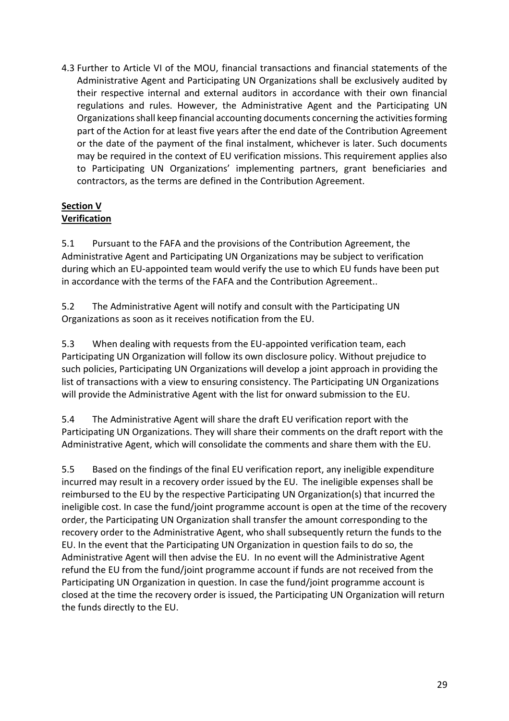4.3 Further to Article VI of the MOU, financial transactions and financial statements of the Administrative Agent and Participating UN Organizations shall be exclusively audited by their respective internal and external auditors in accordance with their own financial regulations and rules. However, the Administrative Agent and the Participating UN Organizations shall keep financial accounting documents concerning the activities forming part of the Action for at least five years after the end date of the Contribution Agreement or the date of the payment of the final instalment, whichever is later. Such documents may be required in the context of EU verification missions. This requirement applies also to Participating UN Organizations' implementing partners, grant beneficiaries and contractors, as the terms are defined in the Contribution Agreement.

# **Section V Verification**

5.1 Pursuant to the FAFA and the provisions of the Contribution Agreement, the Administrative Agent and Participating UN Organizations may be subject to verification during which an EU-appointed team would verify the use to which EU funds have been put in accordance with the terms of the FAFA and the Contribution Agreement..

5.2 The Administrative Agent will notify and consult with the Participating UN Organizations as soon as it receives notification from the EU.

5.3 When dealing with requests from the EU-appointed verification team, each Participating UN Organization will follow its own disclosure policy. Without prejudice to such policies, Participating UN Organizations will develop a joint approach in providing the list of transactions with a view to ensuring consistency. The Participating UN Organizations will provide the Administrative Agent with the list for onward submission to the EU.

5.4 The Administrative Agent will share the draft EU verification report with the Participating UN Organizations. They will share their comments on the draft report with the Administrative Agent, which will consolidate the comments and share them with the EU.

5.5 Based on the findings of the final EU verification report, any ineligible expenditure incurred may result in a recovery order issued by the EU. The ineligible expenses shall be reimbursed to the EU by the respective Participating UN Organization(s) that incurred the ineligible cost. In case the fund/joint programme account is open at the time of the recovery order, the Participating UN Organization shall transfer the amount corresponding to the recovery order to the Administrative Agent, who shall subsequently return the funds to the EU. In the event that the Participating UN Organization in question fails to do so, the Administrative Agent will then advise the EU. In no event will the Administrative Agent refund the EU from the fund/joint programme account if funds are not received from the Participating UN Organization in question. In case the fund/joint programme account is closed at the time the recovery order is issued, the Participating UN Organization will return the funds directly to the EU.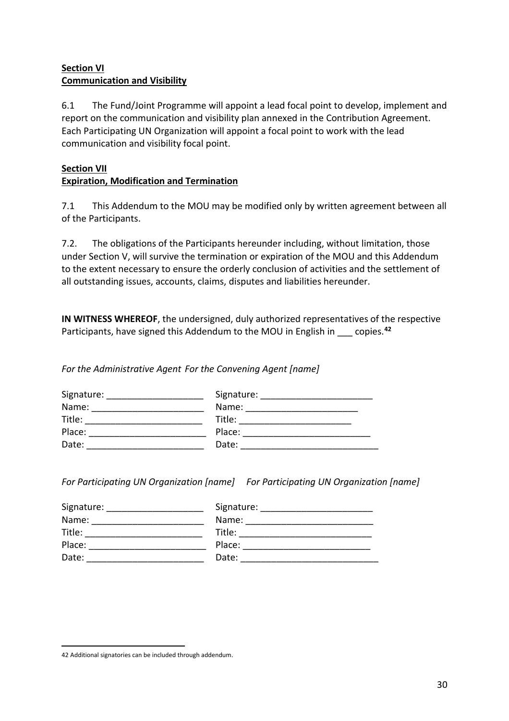# **Section VI Communication and Visibility**

6.1 The Fund/Joint Programme will appoint a lead focal point to develop, implement and report on the communication and visibility plan annexed in the Contribution Agreement. Each Participating UN Organization will appoint a focal point to work with the lead communication and visibility focal point.

## **Section VII Expiration, Modification and Termination**

7.1 This Addendum to the MOU may be modified only by written agreement between all of the Participants.

7.2. The obligations of the Participants hereunder including, without limitation, those under Section V, will survive the termination or expiration of the MOU and this Addendum to the extent necessary to ensure the orderly conclusion of activities and the settlement of all outstanding issues, accounts, claims, disputes and liabilities hereunder.

**IN WITNESS WHEREOF**, the undersigned, duly authorized representatives of the respective Participants, have signed this Addendum to the MOU in English in copies.<sup>42</sup>

*For the Administrative Agent For the Convening Agent [name]*

| Signature: | Signature: |
|------------|------------|
| Name:      | Name:      |
| Title:     | Title:     |
| Place:     | Place:     |
| Date:      | Date:      |

*For Participating UN Organization [name] For Participating UN Organization [name]*

| Signature: | Signature: |
|------------|------------|
| Name:      | Name:      |
| Title:     | Title:     |
| Place:     | Place:     |
| Date:      | Date:      |

<sup>42</sup> Additional signatories can be included through addendum.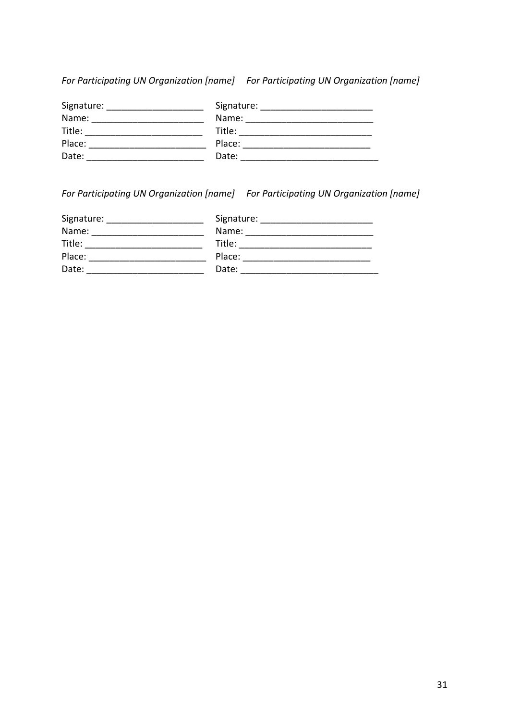*For Participating UN Organization [name] For Participating UN Organization [name]*

| Signature: | Signature: |
|------------|------------|
| Name:      | Name:      |
| Title:     | Title:     |
| Place:     | Place:     |
| Date:      | Date:      |

*For Participating UN Organization [name] For Participating UN Organization [name]*

| Signature: | Signature: |
|------------|------------|
| Name:      | Name:      |
| Title:     | Title:     |
| Place:     | Place:     |
| Date:      | Date:      |